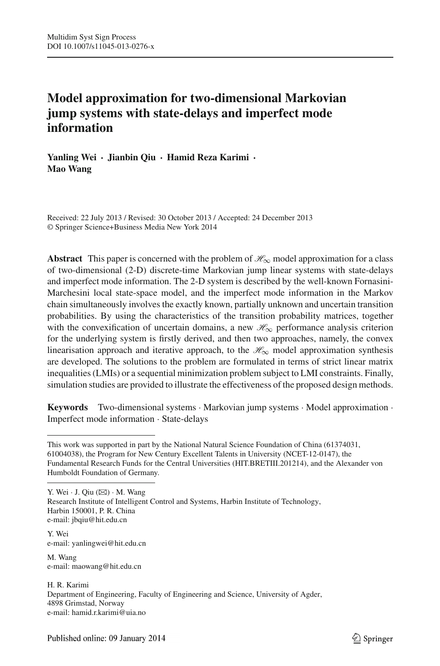# **Model approximation for two-dimensional Markovian jump systems with state-delays and imperfect mode information**

**Yanling Wei · Jianbin Qiu · Hamid Reza Karimi · Mao Wang**

Received: 22 July 2013 / Revised: 30 October 2013 / Accepted: 24 December 2013 © Springer Science+Business Media New York 2014

**Abstract** This paper is concerned with the problem of *H*∞ model approximation for a class of two-dimensional (2-D) discrete-time Markovian jump linear systems with state-delays and imperfect mode information. The 2-D system is described by the well-known Fornasini-Marchesini local state-space model, and the imperfect mode information in the Markov chain simultaneously involves the exactly known, partially unknown and uncertain transition probabilities. By using the characteristics of the transition probability matrices, together with the convexification of uncertain domains, a new  $\mathcal{H}_{\infty}$  performance analysis criterion for the underlying system is firstly derived, and then two approaches, namely, the convex linearisation approach and iterative approach, to the  $\mathcal{H}_{\infty}$  model approximation synthesis are developed. The solutions to the problem are formulated in terms of strict linear matrix inequalities (LMIs) or a sequential minimization problem subject to LMI constraints. Finally, simulation studies are provided to illustrate the effectiveness of the proposed design methods.

**Keywords** Two-dimensional systems · Markovian jump systems · Model approximation · Imperfect mode information · State-delays

Y. Wei  $\cdot$  J. Qiu  $(\boxtimes) \cdot$  M. Wang Research Institute of Intelligent Control and Systems, Harbin Institute of Technology, Harbin 150001, P. R. China e-mail: jbqiu@hit.edu.cn

Y. Wei e-mail: yanlingwei@hit.edu.cn

M. Wang e-mail: maowang@hit.edu.cn

H. R. Karimi Department of Engineering, Faculty of Engineering and Science, University of Agder, 4898 Grimstad, Norway e-mail: hamid.r.karimi@uia.no

This work was supported in part by the National Natural Science Foundation of China (61374031, 61004038), the Program for New Century Excellent Talents in University (NCET-12-0147), the Fundamental Research Funds for the Central Universities (HIT.BRETIII.201214), and the Alexander von Humboldt Foundation of Germany.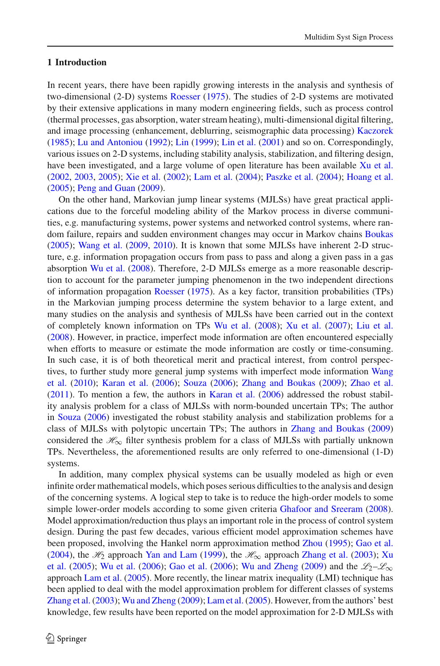## **1 Introduction**

In recent years, there have been rapidly growing interests in the analysis and synthesis of two-dimensional (2-D) systems [Roesser](#page-20-0) [\(1975](#page-20-0)). The studies of 2-D systems are motivated by their extensive applications in many modern engineering fields, such as process control (thermal processes, gas absorption, water stream heating), multi-dimensional digital filtering, and image processing (enhancement, deblurring, seismographic data processing) [Kaczorek](#page-20-1) [\(1985](#page-20-1)); [Lu and Antoniou](#page-20-2) [\(1992](#page-20-2)); [Lin](#page-20-3) [\(1999](#page-20-3)); [Lin et al.](#page-20-4) [\(2001](#page-20-4)) and so on. Correspondingly, various issues on 2-D systems, including stability analysis, stabilization, and filtering design, have been investigated, and a large volume of open literature has been available [Xu et al.](#page-20-5) [\(2002](#page-20-5), [2003](#page-20-6), [2005](#page-21-0)); [Xie et al.](#page-20-7) [\(2002](#page-20-7)); [Lam et al.](#page-20-8) [\(2004](#page-20-8)); [Paszke et al.](#page-20-9) [\(2004\)](#page-20-9); [Hoang et al.](#page-20-10) [\(2005](#page-20-10)); [Peng and Guan](#page-20-11) [\(2009\)](#page-20-11).

On the other hand, Markovian jump linear systems (MJLSs) have great practical applications due to the forceful modeling ability of the Markov process in diverse communities, e.g. manufacturing systems, power systems and networked control systems, where random failure, repairs and sudden environment changes may occur in Markov chains [Boukas](#page-20-12) [\(2005](#page-20-12)); [Wang et al.](#page-20-13) [\(2009,](#page-20-13) [2010](#page-20-14)). It is known that some MJLSs have inherent 2-D structure, e.g. information propagation occurs from pass to pass and along a given pass in a gas absorption [Wu et al.](#page-20-15) [\(2008](#page-20-15)). Therefore, 2-D MJLSs emerge as a more reasonable description to account for the parameter jumping phenomenon in the two independent directions of information propagation [Roesser](#page-20-0) [\(1975](#page-20-0)). As a key factor, transition probabilities (TPs) in the Markovian jumping process determine the system behavior to a large extent, and many studies on the analysis and synthesis of MJLSs have been carried out in the context of completely known information on TPs [Wu et al.](#page-20-15) [\(2008](#page-20-15)); [Xu et al.](#page-21-1) [\(2007\)](#page-21-1); [Liu et al.](#page-20-16) [\(2008](#page-20-16)). However, in practice, imperfect mode information are often encountered especially when efforts to measure or estimate the mode information are costly or time-consuming. In such case, it is of both theoretical merit and practical interest, from control perspec-tives[,](#page-20-14) [to](#page-20-14) [further](#page-20-14) [study](#page-20-14) [more](#page-20-14) [general](#page-20-14) [jump](#page-20-14) [systems](#page-20-14) [with](#page-20-14) [imperfect](#page-20-14) [mode](#page-20-14) [information](#page-20-14) Wang et al. [\(2010\)](#page-20-14); [Karan et al.](#page-20-17) [\(2006](#page-20-17)); [Souza](#page-20-18) [\(2006](#page-20-18)); [Zhang and Boukas](#page-21-2) [\(2009\)](#page-21-2); [Zhao et al.](#page-21-3) [\(2011](#page-21-3)). To mention a few, the authors in [Karan et al.](#page-20-17) [\(2006](#page-20-17)) addressed the robust stability analysis problem for a class of MJLSs with norm-bounded uncertain TPs; The author in [Souza](#page-20-18) [\(2006](#page-20-18)) investigated the robust stability analysis and stabilization problems for a class of MJLSs with polytopic uncertain TPs; The authors in [Zhang and Boukas](#page-21-2) [\(2009\)](#page-21-2) considered the  $\mathcal{H}_{\infty}$  filter synthesis problem for a class of MJLSs with partially unknown TPs. Nevertheless, the aforementioned results are only referred to one-dimensional (1-D) systems.

In addition, many complex physical systems can be usually modeled as high or even infinite order mathematical models, which poses serious difficulties to the analysis and design of the concerning systems. A logical step to take is to reduce the high-order models to some simple lower-order models according to some given criteria [Ghafoor and Sreeram](#page-20-19) [\(2008\)](#page-20-19). Model approximation/reduction thus plays an important role in the process of control system design. During the past few decades, various efficient model approximation schemes have been proposed, involving the Hankel norm approximation method [Zhou](#page-21-4) [\(1995](#page-21-4)); [Gao et al.](#page-20-20) [\(2004](#page-20-20)), the  $H_2$  approach [Yan and Lam](#page-21-5) [\(1999\)](#page-21-5), the  $H_{\infty}$  approach [Zhang et al.](#page-21-6) [\(2003\)](#page-21-6); Xu et al. [\(2005](#page-20-21)); [Wu et al.](#page-20-22) [\(2006\)](#page-20-22); [Gao et al.](#page-20-23) [\(2006](#page-20-23)); [Wu and Zheng](#page-20-24) [\(2009](#page-20-24)) and the  $\mathcal{L}_2-\mathcal{L}_\infty$ approach [Lam et al.](#page-20-25) [\(2005](#page-20-25)). More recently, the linear matrix inequality (LMI) technique has been applied to deal with the model approximation problem for different classes of systems [Zhang et al.](#page-21-6) [\(2003](#page-21-6)); [Wu and Zheng](#page-20-24) [\(2009\)](#page-20-24); [Lam et al.](#page-20-25) [\(2005](#page-20-25)). However, from the authors' best knowledge, few results have been reported on the model approximation for 2-D MJLSs with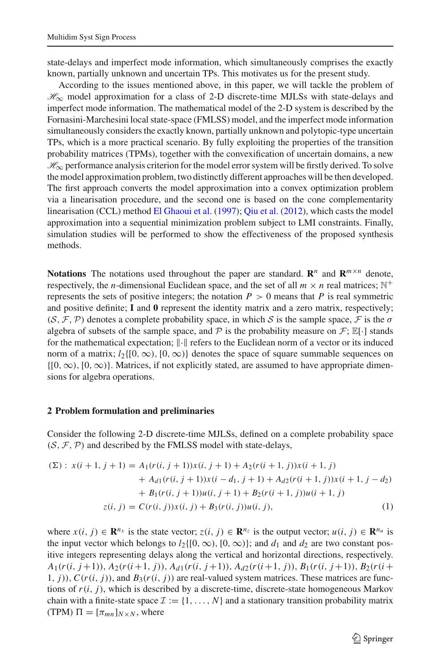state-delays and imperfect mode information, which simultaneously comprises the exactly known, partially unknown and uncertain TPs. This motivates us for the present study.

According to the issues mentioned above, in this paper, we will tackle the problem of *H*∞ model approximation for a class of 2-D discrete-time MJLSs with state-delays and imperfect mode information. The mathematical model of the 2-D system is described by the Fornasini-Marchesini local state-space (FMLSS) model, and the imperfect mode information simultaneously considers the exactly known, partially unknown and polytopic-type uncertain TPs, which is a more practical scenario. By fully exploiting the properties of the transition probability matrices (TPMs), together with the convexification of uncertain domains, a new *H*∞ performance analysis criterion for the model error system will be firstly derived. To solve the model approximation problem, two distinctly different approaches will be then developed. The first approach converts the model approximation into a convex optimization problem via a linearisation procedure, and the second one is based on the cone complementarity linearisation (CCL) method [El Ghaoui et al.](#page-20-26) [\(1997](#page-20-26)); [Qiu et al.](#page-20-27) [\(2012](#page-20-27)), which casts the model approximation into a sequential minimization problem subject to LMI constraints. Finally, simulation studies will be performed to show the effectiveness of the proposed synthesis methods.

**Notations** The notations used throughout the paper are standard.  $\mathbb{R}^n$  and  $\mathbb{R}^{m \times n}$  denote, respectively, the *n*-dimensional Euclidean space, and the set of all  $m \times n$  real matrices; N<sup>+</sup> represents the sets of positive integers; the notation  $P > 0$  means that P is real symmetric and positive definite; **I** and **0** represent the identity matrix and a zero matrix, respectively;  $(S, \mathcal{F}, \mathcal{P})$  denotes a complete probability space, in which *S* is the sample space,  $\mathcal{F}$  is the  $\sigma$ algebra of subsets of the sample space, and  $\mathcal P$  is the probability measure on  $\mathcal F$ ;  $\mathbb E[\cdot]$  stands for the mathematical expectation;  $\lVert \cdot \rVert$  refers to the Euclidean norm of a vector or its induced norm of a matrix;  $l_2\{[0,\infty),[0,\infty)\}\}$  denotes the space of square summable sequences on  $\{[0, \infty), [0, \infty)\}.$  Matrices, if not explicitly stated, are assumed to have appropriate dimensions for algebra operations.

## **2 Problem formulation and preliminaries**

Consider the following 2-D discrete-time MJLSs, defined on a complete probability space  $(S, \mathcal{F}, \mathcal{P})$  and described by the FMLSS model with state-delays,

<span id="page-2-0"></span>
$$
(\Sigma): x(i+1, j+1) = A_1(r(i, j+1))x(i, j+1) + A_2(r(i+1, j))x(i+1, j)
$$
  
+ 
$$
A_{d1}(r(i, j+1))x(i-d_1, j+1) + A_{d2}(r(i+1, j))x(i+1, j-d_2)
$$
  
+ 
$$
B_1(r(i, j+1))u(i, j+1) + B_2(r(i+1, j))u(i+1, j)
$$
  

$$
z(i, j) = C(r(i, j))x(i, j) + B_3(r(i, j))u(i, j),
$$
 (1)

where  $x(i, j) \in \mathbb{R}^{n_x}$  is the state vector;  $z(i, j) \in \mathbb{R}^{n_z}$  is the output vector;  $u(i, j) \in \mathbb{R}^{n_u}$  is the input vector which belongs to  $l_2\{[0,\infty),[0,\infty)\}\;$  and  $d_1$  and  $d_2$  are two constant positive integers representing delays along the vertical and horizontal directions, respectively.  $A_1(r(i, j+1)), A_2(r(i+1, j)), A_{d1}(r(i, j+1)), A_{d2}(r(i+1, j)), B_1(r(i, j+1)), B_2(r(i+1, j))$ 1,  $j$ )),  $C(r(i, j))$ , and  $B_3(r(i, j))$  are real-valued system matrices. These matrices are functions of  $r(i, j)$ , which is described by a discrete-time, discrete-state homogeneous Markov chain with a finite-state space  $\mathcal{I} := \{1, \ldots, N\}$  and a stationary transition probability matrix  $(TPM)$   $\Pi = [\pi_{mn}]_{N \times N}$ , where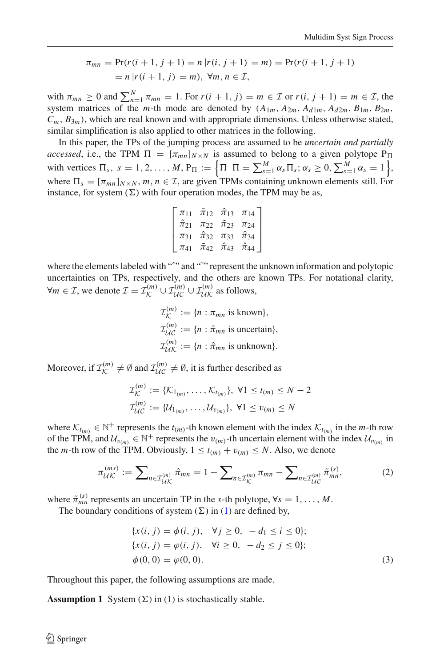$$
\pi_{mn} = \Pr(r(i+1, j+1) = n | r(i, j+1) = m) = \Pr(r(i+1, j+1)
$$

$$
= n | r(i+1, j) = m), \forall m, n \in \mathcal{I},
$$

with  $\pi_{mn} \geq 0$  and  $\sum_{n=1}^{N} \pi_{mn} = 1$ . For  $r(i+1, j) = m \in \mathcal{I}$  or  $r(i, j+1) = m \in \mathcal{I}$ , the system matrices of the *m*-th mode are denoted by  $(A_{1m}, A_{2m}, A_{d1m}, A_{d2m}, B_{1m}, B_{2m})$  $C_m$ ,  $B_{3m}$ ), which are real known and with appropriate dimensions. Unless otherwise stated, similar simplification is also applied to other matrices in the following.

In this paper, the TPs of the jumping process are assumed to be *uncertain and partially accessed*, i.e., the TPM  $\Pi = [\pi_{mn}]_{N \times N}$  is assumed to belong to a given polytope  $P_{\Pi}$ with vertices  $\Pi_s$ ,  $s = 1, 2, ..., M$ ,  $P_{\Pi} := \left\{ \Pi \left| \Pi = \sum_{s=1}^M \alpha_s \Pi_s; \alpha_s \ge 0, \sum_{s=1}^M \alpha_s = 1 \right. \right\}$ , where  $\Pi_s = [\pi_{mn}]_{N \times N}$ ,  $m, n \in \mathcal{I}$ , are given TPMs containing unknown elements still. For instance, for system  $(\Sigma)$  with four operation modes, the TPM may be as,

$$
\begin{bmatrix} \pi_{11} & \tilde{\pi}_{12} & \hat{\pi}_{13} & \pi_{14} \\ \hat{\pi}_{21} & \pi_{22} & \tilde{\pi}_{23} & \pi_{24} \\ \pi_{31} & \hat{\pi}_{32} & \pi_{33} & \hat{\pi}_{34} \\ \pi_{41} & \tilde{\pi}_{42} & \hat{\pi}_{43} & \hat{\pi}_{44} \end{bmatrix}
$$

where the elements labeled with "<sup>or</sup>" and "<sup>or"</sup> represent the unknown information and polytopic uncertainties on TPs, respectively, and the others are known TPs. For notational clarity,  $\forall m \in \mathcal{I}$ , we denote  $\mathcal{I} = \mathcal{I}_{\mathcal{K}}^{(m)} \cup \mathcal{I}_{\mathcal{U}\mathcal{K}}^{(m)} \cup \mathcal{I}_{\mathcal{U}\mathcal{K}}^{(m)}$  as follows,

$$
\mathcal{I}_{\mathcal{K}}^{(m)} := \{n : \pi_{mn} \text{ is known}\},
$$
  
\n
$$
\mathcal{I}_{\mathcal{U}\mathcal{C}}^{(m)} := \{n : \tilde{\pi}_{mn} \text{ is uncertain}\},
$$
  
\n
$$
\mathcal{I}_{\mathcal{U}\mathcal{K}}^{(m)} := \{n : \hat{\pi}_{mn} \text{ is unknown}\}.
$$

Moreover, if  $\mathcal{I}_{\mathcal{K}}^{(m)} \neq \emptyset$  and  $\mathcal{I}_{\mathcal{U}\mathcal{C}}^{(m)} \neq \emptyset$ , it is further described as

$$
\mathcal{I}_{\mathcal{K}}^{(m)} := \{ \mathcal{K}_{1_{(m)}}, \dots, \mathcal{K}_{t_{(m)}} \}, \ \forall 1 \le t_{(m)} \le N - 2
$$
  

$$
\mathcal{I}_{\mathcal{U}\mathcal{C}}^{(m)} := \{ \mathcal{U}_{1_{(m)}}, \dots, \mathcal{U}_{\nu_{(m)}} \}, \ \forall 1 \le \nu_{(m)} \le N
$$

where  $\mathcal{K}_{t(m)} \in \mathbb{N}^+$  represents the  $t(m)$ -th known element with the index  $\mathcal{K}_{t(m)}$  in the *m*-th row of the TPM, and  $\mathcal{U}_{v_{(m)}} \in \mathbb{N}^+$  represents the  $v_{(m)}$ -th uncertain element with the index  $\mathcal{U}_{v_{(m)}}$  in the *m*-th row of the TPM. Obviously,  $1 \le t_{(m)} + v_{(m)} \le N$ . Also, we denote

$$
\pi_{\mathcal{U}\mathcal{K}}^{(ms)} := \sum_{n \in \mathcal{I}_{\mathcal{U}\mathcal{K}}^{(m)}} \hat{\pi}_{mn} = 1 - \sum_{n \in \mathcal{I}_{\mathcal{K}}^{(m)}} \pi_{mn} - \sum_{n \in \mathcal{I}_{\mathcal{U}\mathcal{C}}^{(m)}} \tilde{\pi}_{mn}^{(s)}, \tag{2}
$$

where  $\tilde{\pi}_{mn}^{(s)}$  represents an uncertain TP in the *s*-th polytope,  $\forall s = 1, ..., M$ .

<span id="page-3-0"></span>The boundary conditions of system  $(\Sigma)$  in [\(1\)](#page-2-0) are defined by,

$$
\{x(i, j) = \phi(i, j), \quad \forall j \ge 0, \ -d_1 \le i \le 0\};
$$
  

$$
\{x(i, j) = \phi(i, j), \quad \forall i \ge 0, \ -d_2 \le j \le 0\};
$$
  

$$
\phi(0, 0) = \phi(0, 0).
$$
 (3)

Throughout this paper, the following assumptions are made.

**Assumption 1** System  $(\Sigma)$  in [\(1\)](#page-2-0) is stochastically stable.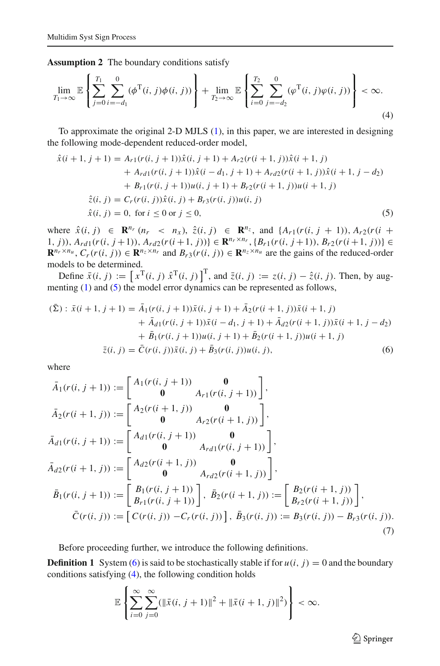<span id="page-4-2"></span>**Assumption 2** The boundary conditions satisfy

$$
\lim_{T_1 \to \infty} \mathbb{E} \left\{ \sum_{j=0}^{T_1} \sum_{i=-d_1}^{0} (\phi^{\mathrm{T}}(i,j)\phi(i,j)) \right\} + \lim_{T_2 \to \infty} \mathbb{E} \left\{ \sum_{i=0}^{T_2} \sum_{j=-d_2}^{0} (\phi^{\mathrm{T}}(i,j)\phi(i,j)) \right\} < \infty.
$$
\n(4)

<span id="page-4-0"></span>To approximate the original 2-D MJLS [\(1\)](#page-2-0), in this paper, we are interested in designing the following mode-dependent reduced-order model,

$$
\hat{x}(i+1, j+1) = A_{r1}(r(i, j+1))\hat{x}(i, j+1) + A_{r2}(r(i+1, j))\hat{x}(i+1, j) \n+ A_{r d1}(r(i, j+1))\hat{x}(i-d_1, j+1) + A_{r d2}(r(i+1, j))\hat{x}(i+1, j-d_2) \n+ B_{r1}(r(i, j+1))u(i, j+1) + B_{r2}(r(i+1, j))u(i+1, j) \n\hat{z}(i, j) = C_r(r(i, j))\hat{x}(i, j) + B_{r3}(r(i, j))u(i, j) \n\hat{x}(i, j) = 0, \text{ for } i \le 0 \text{ or } j \le 0,
$$
\n(5)

where  $\hat{x}(i, j)$  ∈ **R**<sup>*n<sub>r</sub>*</sup> (*n<sub>r</sub>* < *n<sub>x</sub>*),  $\hat{z}(i, j)$  ∈ **R**<sup>*n<sub>z</sub>*</sup>, and {*A<sub>r</sub>*<sub>1</sub>(*r*(*i*, *j* + 1)), *A<sub>r</sub>*<sub>2</sub>(*r*(*i* + 1, j)),  $A_{rd1}(r(i, j+1)), A_{rd2}(r(i+1, j)) \in \mathbf{R}^{n_r \times n_r}, \{B_{r1}(r(i, j+1)), B_{r2}(r(i+1, j))\} \in$  $\mathbf{R}^{n_r \times n_u}$ ,  $C_r(r(i, j)) \in \mathbf{R}^{n_z \times n_r}$  and  $B_r(s(i, j)) \in \mathbf{R}^{n_z \times n_u}$  are the gains of the reduced-order models to be determined.

Define  $\bar{x}(i, j) := [x^T(i, j) \hat{x}^T(i, j)]^T$ , and  $\bar{z}(i, j) := z(i, j) - \hat{z}(i, j)$ . Then, by aug-menting [\(1\)](#page-2-0) and [\(5\)](#page-4-0) the model error dynamics can be represented as follows,

<span id="page-4-1"></span>
$$
(\bar{\Sigma}): \bar{x}(i+1, j+1) = \bar{A}_1(r(i, j+1))\bar{x}(i, j+1) + \bar{A}_2(r(i+1, j))\bar{x}(i+1, j) + \bar{A}_{d1}(r(i, j+1))\bar{x}(i-d_1, j+1) + \bar{A}_{d2}(r(i+1, j))\bar{x}(i+1, j-d_2) + \bar{B}_1(r(i, j+1))u(i, j+1) + \bar{B}_2(r(i+1, j))u(i+1, j) \bar{z}(i, j) = \bar{C}(r(i, j))\bar{x}(i, j) + \bar{B}_3(r(i, j))u(i, j),
$$
\n(6)

where

<span id="page-4-3"></span>
$$
\bar{A}_1(r(i, j + 1)) := \begin{bmatrix} A_1(r(i, j + 1)) & 0 \\ 0 & A_{r1}(r(i, j + 1)) \end{bmatrix},
$$
\n
$$
\bar{A}_2(r(i + 1, j)) := \begin{bmatrix} A_2(r(i + 1, j)) & 0 \\ 0 & A_{r2}(r(i + 1, j)) \end{bmatrix},
$$
\n
$$
\bar{A}_{d1}(r(i, j + 1)) := \begin{bmatrix} A_{d1}(r(i, j + 1)) & 0 \\ 0 & A_{rd1}(r(i, j + 1)) \end{bmatrix},
$$
\n
$$
\bar{A}_{d2}(r(i + 1, j)) := \begin{bmatrix} A_{d2}(r(i + 1, j)) & 0 \\ 0 & A_{rd2}(r(i + 1, j)) \end{bmatrix},
$$
\n
$$
\bar{B}_1(r(i, j + 1)) := \begin{bmatrix} B_1(r(i, j + 1)) \\ B_{r1}(r(i, j + 1)) \end{bmatrix}, \ \bar{B}_2(r(i + 1, j)) := \begin{bmatrix} B_2(r(i + 1, j)) \\ B_{r2}(r(i + 1, j)) \end{bmatrix},
$$
\n
$$
\bar{C}(r(i, j)) := [C(r(i, j)) - C_r(r(i, j))], \ \bar{B}_3(r(i, j)) := B_3(r(i, j)) - B_{r3}(r(i, j)).
$$
\n(7)

Before proceeding further, we introduce the following definitions.

**Definition 1** System [\(6\)](#page-4-1) is said to be stochastically stable if for  $u(i, j) = 0$  and the boundary conditions satisfying [\(4\)](#page-4-2), the following condition holds

$$
\mathbb{E}\left\{\sum_{i=0}^{\infty}\sum_{j=0}^{\infty}(\|\bar{x}(i, j+1)\|^2 + \|\bar{x}(i+1, j)\|^2)\right\} < \infty.
$$

 $\hat{\mathfrak{D}}$  Springer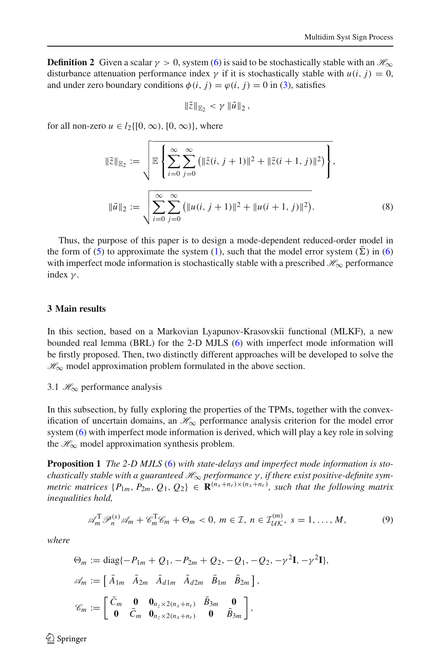**Definition 2** Given a scalar  $\gamma > 0$ , system [\(6\)](#page-4-1) is said to be stochastically stable with an  $\mathcal{H}_{\infty}$ disturbance attenuation performance index  $\gamma$  if it is stochastically stable with  $u(i, j) = 0$ , and under zero boundary conditions  $\phi(i, j) = \phi(i, j) = 0$  in [\(3\)](#page-3-0), satisfies

$$
\|\tilde{z}\|_{\mathbb{E}_2} < \gamma \|\tilde{u}\|_2,
$$

<span id="page-5-0"></span>for all non-zero  $u \in l_2\{[0, \infty), [0, \infty)\}\)$ , where

$$
\|\tilde{z}\|_{\mathbb{E}_2} := \sqrt{\mathbb{E}\left\{\sum_{i=0}^{\infty}\sum_{j=0}^{\infty} \left(\|\bar{z}(i,j+1)\|^2 + \|\bar{z}(i+1,j)\|^2\right)\right\}},
$$
  

$$
\|\tilde{u}\|_2 := \sqrt{\sum_{i=0}^{\infty}\sum_{j=0}^{\infty} \left(\|u(i,j+1)\|^2 + \|u(i+1,j)\|^2\right)}.
$$
 (8)

Thus, the purpose of this paper is to design a mode-dependent reduced-order model in the form of [\(5\)](#page-4-0) to approximate the system [\(1\)](#page-2-0), such that the model error system ( $\overline{\Sigma}$ ) in [\(6\)](#page-4-1) with imperfect mode information is stochastically stable with a prescribed  $\mathcal{H}_{\infty}$  performance index  $\gamma$ .

#### **3 Main results**

In this section, based on a Markovian Lyapunov-Krasovskii functional (MLKF), a new bounded real lemma (BRL) for the 2-D MJLS [\(6\)](#page-4-1) with imperfect mode information will be firstly proposed. Then, two distinctly different approaches will be developed to solve the *H*∞ model approximation problem formulated in the above section.

## 3.1 *H*∞ performance analysis

In this subsection, by fully exploring the properties of the TPMs, together with the convexification of uncertain domains, an  $\mathcal{H}_{\infty}$  performance analysis criterion for the model error system [\(6\)](#page-4-1) with imperfect mode information is derived, which will play a key role in solving the  $\mathcal{H}_{\infty}$  model approximation synthesis problem.

**Proposition 1** *The 2-D MJLS* [\(6\)](#page-4-1) *with state-delays and imperfect mode information is stochastically stable with a guaranteed H*∞ *performance* γ *, if there exist positive-definite symmetric matrices*  $\{P_{1m}, P_{2m}, Q_1, Q_2\} \in \mathbf{R}^{(n_x+n_r)\times(n_x+n_r)}$ , such that the following matrix *inequalities hold,*

<span id="page-5-2"></span>
$$
\mathscr{A}_m^T \mathscr{P}_n^{(s)} \mathscr{A}_m + \mathscr{C}_m^T \mathscr{C}_m + \Theta_m < 0, \ m \in \mathcal{I}, \ n \in \mathcal{I}_{\mathcal{U}\mathcal{K}}^{(m)}, \ s = 1, \dots, M,\tag{9}
$$

<span id="page-5-3"></span><span id="page-5-1"></span>*where*

$$
\Theta_m := \text{diag}\{-P_{1m} + Q_1, -P_{2m} + Q_2, -Q_1, -Q_2, -\gamma^2 \mathbf{I}, -\gamma^2 \mathbf{I}\},\
$$
  

$$
\mathscr{A}_m := \begin{bmatrix} \bar{A}_{1m} & \bar{A}_{2m} & \bar{A}_{d1m} & \bar{A}_{d2m} & \bar{B}_{1m} & \bar{B}_{2m} \end{bmatrix},\
$$
  

$$
\mathscr{C}_m := \begin{bmatrix} \bar{C}_m & \mathbf{0} & \mathbf{0}_{n_z \times 2(n_x + n_r)} & \bar{B}_{3m} & \mathbf{0} \\ \mathbf{0} & \bar{C}_m & \mathbf{0}_{n_z \times 2(n_x + n_r)} & \mathbf{0} & \bar{B}_{3m} \end{bmatrix},
$$

 $\circledcirc$  Springer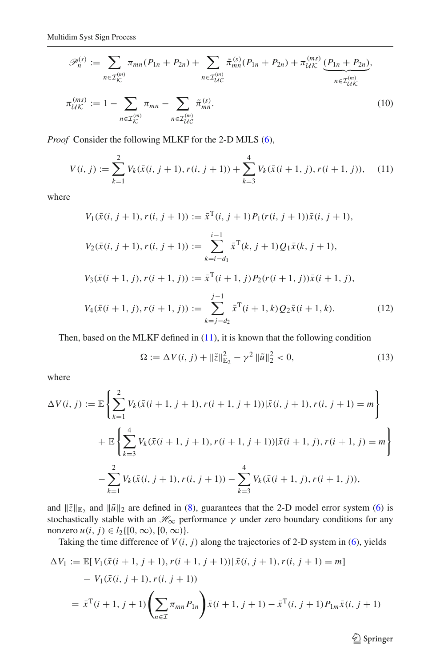$$
\mathscr{P}_n^{(s)} := \sum_{n \in \mathcal{I}_{\mathcal{K}}^{(m)}} \pi_{mn}(P_{1n} + P_{2n}) + \sum_{n \in \mathcal{I}_{\mathcal{U}\mathcal{C}}^{(m)}} \tilde{\pi}_{mn}^{(s)}(P_{1n} + P_{2n}) + \pi_{\mathcal{U}\mathcal{K}}^{(ms)} \underbrace{(P_{1n} + P_{2n})}_{n \in \mathcal{I}_{\mathcal{U}\mathcal{K}}^{(m)}}.
$$
\n
$$
\pi_{\mathcal{U}\mathcal{K}}^{(ms)} := 1 - \sum_{m \in \mathcal{I}_{\mathcal{U}}^{(m)}} \pi_{mn} - \sum_{m \in \mathcal{I}_{\mathcal{U}\mathcal{K}}^{(s)}} \tilde{\pi}_{mn}^{(s)}.
$$
\n(10)

*Proof* Consider the following MLKF for the 2-D MJLS [\(6\)](#page-4-1),

 $n ∈ \mathcal{I}_{\mathcal{U}\mathcal{C}}^{(m)}$ 

 $n∈\mathcal{I}_\mathcal{K}^{(m)}$ 

$$
V(i, j) := \sum_{k=1}^{2} V_k(\bar{x}(i, j+1), r(i, j+1)) + \sum_{k=3}^{4} V_k(\bar{x}(i+1, j), r(i+1, j)), \quad (11)
$$

<span id="page-6-0"></span>where

$$
V_1(\bar{x}(i, j+1), r(i, j+1)) := \bar{x}^T(i, j+1)P_1(r(i, j+1))\bar{x}(i, j+1),
$$
  
\n
$$
V_2(\bar{x}(i, j+1), r(i, j+1)) := \sum_{k=i-d_1}^{i-1} \bar{x}^T(k, j+1)Q_1\bar{x}(k, j+1),
$$
  
\n
$$
V_3(\bar{x}(i+1, j), r(i+1, j)) := \bar{x}^T(i+1, j)P_2(r(i+1, j))\bar{x}(i+1, j),
$$
  
\n
$$
V_4(\bar{x}(i+1, j), r(i+1, j)) := \sum_{k=j-d_2}^{j-1} \bar{x}^T(i+1, k)Q_2\bar{x}(i+1, k).
$$
 (12)

<span id="page-6-2"></span>Then, based on the MLKF defined in [\(11\)](#page-6-0), it is known that the following condition

$$
\Omega := \Delta V(i, j) + \|\tilde{z}\|_{\mathbb{E}_2}^2 - \gamma^2 \|\tilde{u}\|_2^2 < 0,
$$
\n(13)

where

$$
\Delta V(i, j) := \mathbb{E} \left\{ \sum_{k=1}^{2} V_k(\bar{x}(i+1, j+1), r(i+1, j+1)) | \bar{x}(i, j+1), r(i, j+1) = m \right\}
$$
  
+ 
$$
\mathbb{E} \left\{ \sum_{k=3}^{4} V_k(\bar{x}(i+1, j+1), r(i+1, j+1)) | \bar{x}(i+1, j), r(i+1, j) = m \right\}
$$
  
- 
$$
\sum_{k=1}^{2} V_k(\bar{x}(i, j+1), r(i, j+1)) - \sum_{k=3}^{4} V_k(\bar{x}(i+1, j), r(i+1, j)),
$$

and  $\|\tilde{z}\|_{\mathbb{E}_2}$  and  $\|\tilde{u}\|_2$  are defined in [\(8\)](#page-5-0), guarantees that the 2-D model error system [\(6\)](#page-4-1) is stochastically stable with an  $\mathcal{H}_{\infty}$  performance  $\gamma$  under zero boundary conditions for any nonzero *u*(*i*, *j*) ∈ *l*<sub>2</sub>{[0, ∞), [0, ∞)}.

Taking the time difference of  $V(i, j)$  along the trajectories of 2-D system in [\(6\)](#page-4-1), yields

<span id="page-6-1"></span>
$$
\Delta V_1 := \mathbb{E}[V_1(\bar{x}(i+1, j+1), r(i+1, j+1)) | \bar{x}(i, j+1), r(i, j+1) = m]
$$
  
-  $V_1(\bar{x}(i, j+1), r(i, j+1))$   
=  $\bar{x}^T(i+1, j+1) \left( \sum_{n \in \mathcal{I}} \pi_{mn} P_{1n} \right) \bar{x}(i+1, j+1) - \bar{x}^T(i, j+1) P_{1m} \bar{x}(i, j+1)$ 

 $\hat{2}$  Springer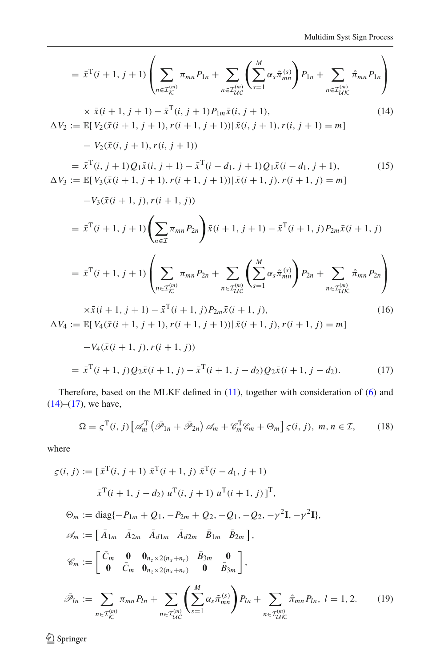$$
= \bar{x}^{T}(i+1, j+1) \left( \sum_{n \in \mathcal{I}_{LC}} \pi_{mn} P_{1n} + \sum_{n \in \mathcal{I}_{UC}} \left( \sum_{s=1}^{M} \alpha_{s} \tilde{\pi}_{mn}^{(s)} \right) P_{1n} + \sum_{n \in \mathcal{I}_{UL}} \hat{\pi}_{mn} P_{1n} \right)
$$
  
\n
$$
\times \bar{x}(i+1, j+1) - \bar{x}^{T}(i, j+1) P_{1m} \bar{x}(i, j+1), \qquad (14)
$$
  
\n
$$
\Delta V_{2} := \mathbb{E}[V_{2}(\bar{x}(i+1, j+1), r(i+1, j+1)) | \bar{x}(i, j+1), r(i, j+1) = m]
$$
  
\n
$$
- V_{2}(\bar{x}(i, j+1), r(i, j+1))
$$
  
\n
$$
= \bar{x}^{T}(i, j+1) Q_{1} \bar{x}(i, j+1) - \bar{x}^{T}(i-d_{1}, j+1) Q_{1} \bar{x}(i-d_{1}, j+1), \qquad (15)
$$
  
\n
$$
\Delta V_{3} := \mathbb{E}[V_{3}(\bar{x}(i+1, j+1), r(i+1, j+1)) | \bar{x}(i+1, j), r(i+1, j) = m]
$$
  
\n
$$
-V_{3}(\bar{x}(i+1, j), r(i+1, j))
$$
  
\n
$$
= \bar{x}^{T}(i+1, j+1) \left( \sum_{n \in \mathcal{I}} \pi_{mn} P_{2n} \right) \bar{x}(i+1, j+1) - \bar{x}^{T}(i+1, j) P_{2m} \bar{x}(i+1, j)
$$
  
\n
$$
= \bar{x}^{T}(i+1, j+1) \left( \sum_{n \in \mathcal{I}_{LC}} \pi_{mn} P_{2n} + \sum_{n \in \mathcal{I}_{UC}} \left( \sum_{s=1}^{M} \alpha_{s} \tilde{\pi}_{mn}^{(s)} \right) P_{2n} + \sum_{n \in \mathcal{I}_{UL}} \hat{\pi}_{mn} P_{2n} \right)
$$
  
\n
$$
\times \bar{x}(i+1, j+1) - \bar{x}^{T}(i+1, j) P_{2m} \bar{x}(i+1, j), \
$$

$$
= \bar{x}^{\mathrm{T}}(i+1,j)Q_{2}\bar{x}(i+1,j) - \bar{x}^{\mathrm{T}}(i+1,j-d_{2})Q_{2}\bar{x}(i+1,j-d_{2}). \tag{17}
$$

Therefore, based on the MLKF defined in [\(11\)](#page-6-0), together with consideration of [\(6\)](#page-4-1) and  $(14)$ – $(17)$ , we have,

$$
\Omega = \varsigma^{\mathrm{T}}(i,j) \left[ \mathcal{A}_{m}^{\mathrm{T}} \left( \bar{\mathcal{P}}_{1n} + \bar{\mathcal{P}}_{2n} \right) \mathcal{A}_{m} + \mathcal{C}_{m}^{\mathrm{T}} \mathcal{C}_{m} + \Theta_{m} \right] \varsigma(i,j), \ m, n \in \mathcal{I}, \tag{18}
$$

<span id="page-7-0"></span>where

$$
\zeta(i, j) := [\bar{x}^{T}(i, j + 1) \ \bar{x}^{T}(i + 1, j) \ \bar{x}^{T}(i - d_{1}, j + 1)
$$
\n
$$
\bar{x}^{T}(i + 1, j - d_{2}) \ u^{T}(i, j + 1) \ u^{T}(i + 1, j)]^{T},
$$
\n
$$
\Theta_{m} := \text{diag}\{-P_{1m} + Q_{1}, -P_{2m} + Q_{2}, -Q_{1}, -Q_{2}, -\gamma^{2}\mathbf{I}, -\gamma^{2}\mathbf{I}\},
$$
\n
$$
\mathscr{A}_{m} := [\ \bar{A}_{1m} \ \bar{A}_{2m} \ \bar{A}_{d1m} \ \bar{A}_{d2m} \ \bar{B}_{1m} \ \bar{B}_{2m}],
$$
\n
$$
\mathscr{C}_{m} := [\ \bar{C}_{m} \ \mathbf{0} \ \mathbf{0}_{n_{z} \times 2(n_{x} + n_{r})} \ \bar{B}_{3m} \ \mathbf{0} \ \mathbf{0} \ \bar{B}_{3m}],
$$
\n
$$
\bar{\mathscr{P}}_{ln} := \sum_{n \in \mathcal{I}_{K}^{(m)}} \pi_{mn} P_{ln} + \sum_{n \in \mathcal{I}_{U}^{(m)}} \left( \sum_{s=1}^{M} \alpha_{s} \tilde{\pi}_{mn}^{(s)} \right) P_{ln} + \sum_{n \in \mathcal{I}_{UK}^{(m)}} \hat{\pi}_{mn} P_{ln}, \ l = 1, 2. \tag{19}
$$

 $\underline{\textcircled{\tiny 2}}$  Springer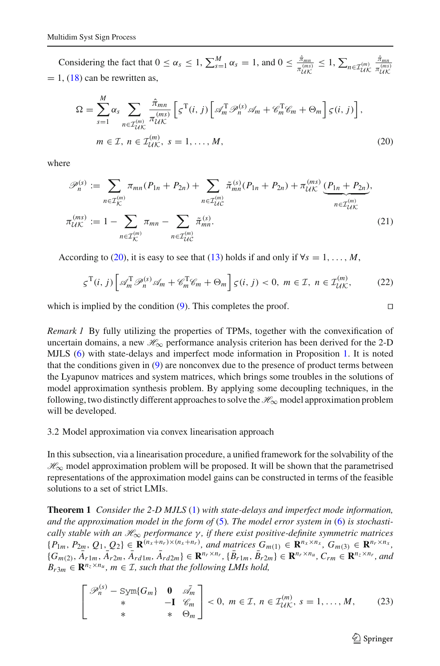<span id="page-8-0"></span>Considering the fact that  $0 \le \alpha_s \le 1$ ,  $\sum_{s=1}^{M} \alpha_s = 1$ , and  $0 \le \frac{\hat{\pi}_{mn}}{\pi_{UK}^{(ms)}}$  $\leq 1, \sum_{n \in \mathcal{I}_{\mathcal{U}}^{(m)}}$  $\frac{\hat{\pi}_{mn}}{\pi_{\mathcal{U}\mathcal{K}}^{(ms)}}$  $= 1$ , [\(18\)](#page-7-0) can be rewritten as,

$$
\Omega = \sum_{s=1}^{M} \alpha_s \sum_{n \in \mathcal{I}_{UK}^{(m)}} \frac{\hat{\pi}_{mn}}{\pi_{UK}^{(ms)}} \left[ \varsigma^{\mathrm{T}}(i,j) \left[ \mathcal{A}_m^{\mathrm{T}} \mathcal{P}_n^{(s)} \mathcal{A}_m + \mathcal{C}_m^{\mathrm{T}} \mathcal{C}_m + \Theta_m \right] \varsigma(i,j) \right],
$$
  
\n
$$
m \in \mathcal{I}, n \in \mathcal{I}_{UK}^{(m)}, s = 1, ..., M,
$$
\n(20)

where

$$
\mathcal{P}_n^{(s)} := \sum_{n \in \mathcal{I}_{\mathcal{K}}^{(m)}} \pi_{mn}(P_{1n} + P_{2n}) + \sum_{n \in \mathcal{I}_{\mathcal{U}\mathcal{C}}^{(m)}} \tilde{\pi}_{mn}^{(s)}(P_{1n} + P_{2n}) + \pi_{\mathcal{U}\mathcal{K}}^{(ms)} \underbrace{(P_{1n} + P_{2n})}_{n \in \mathcal{I}_{\mathcal{U}\mathcal{K}}^{(m)}}.
$$
\n
$$
\pi_{\mathcal{U}\mathcal{K}}^{(ms)} := 1 - \sum_{n \in \mathcal{I}_{\mathcal{K}}^{(m)}} \pi_{mn} - \sum_{n \in \mathcal{I}_{\mathcal{U}\mathcal{C}}^{(m)}} \tilde{\pi}_{mn}^{(s)}.
$$
\n(21)

According to [\(20\)](#page-8-0), it is easy to see that [\(13\)](#page-6-2) holds if and only if  $\forall s = 1, \ldots, M$ ,

$$
\varsigma^{\mathrm{T}}(i,j)\left[\mathscr{A}_{m}^{\mathrm{T}}\mathscr{P}_{n}^{(s)}\mathscr{A}_{m}+\mathscr{C}_{m}^{\mathrm{T}}\mathscr{C}_{m}+\Theta_{m}\right]\varsigma(i,j)<0,\;m\in\mathcal{I},\;n\in\mathcal{I}_{\mathcal{U}\mathcal{K}}^{(m)},\tag{22}
$$

which is implied by the condition  $(9)$ . This completes the proof.

*Remark 1* By fully utilizing the properties of TPMs, together with the convexification of uncertain domains, a new  $\mathcal{H}_{\infty}$  performance analysis criterion has been derived for the 2-D MJLS [\(6\)](#page-4-1) with state-delays and imperfect mode information in Proposition [1.](#page-5-2) It is noted that the conditions given in [\(9\)](#page-5-1) are nonconvex due to the presence of product terms between the Lyapunov matrices and system matrices, which brings some troubles in the solutions of model approximation synthesis problem. By applying some decoupling techniques, in the following, two distinctly different approaches to solve the *H*∞ model approximation problem will be developed.

3.2 Model approximation via convex linearisation approach

In this subsection, via a linearisation procedure, a unified framework for the solvability of the *H*∞ model approximation problem will be proposed. It will be shown that the parametrised representations of the approximation model gains can be constructed in terms of the feasible solutions to a set of strict LMIs.

<span id="page-8-2"></span>**Theorem 1** *Consider the 2-D MJLS* [\(1\)](#page-2-0) *with state-delays and imperfect mode information, and the approximation model in the form of* [\(5\)](#page-4-0)*. The model error system in* [\(6\)](#page-4-1) *is stochastically stable with an H*∞ *performance* γ *, if there exist positive-definite symmetric matrices*  $\{P_{1m}, P_{2m}, Q_1, Q_2\} \in \mathbf{R}^{(n_x+n_r)\times(n_x+n_r)}$ , and matrices  $G_{m(1)} \in \mathbf{R}^{n_x \times n_x}$ ,  $G_{m(3)} \in \mathbf{R}^{n_r \times n_x}$ ,  ${G_{m(2)}, \bar{A}_{r1m}, \bar{A}_{r2m}, \bar{A}_{rd1m}, \bar{A}_{rd2m}} \in \mathbf{R}^{n_r \times n_r}, {\bar{B}_{r1m}, \bar{B}_{r2m}} \in \mathbf{R}^{n_r \times n_u}, C_{rm} \in \mathbf{R}^{n_z \times n_r}, and$  $B_{r3m} \in \mathbb{R}^{n_z \times n_u}$ ,  $m \in \mathcal{I}$ , such that the following LMIs hold,

<span id="page-8-1"></span>
$$
\begin{bmatrix}\n\mathscr{P}_n^{(s)} - \text{Sym}\{G_m\} & \mathbf{0} & \bar{\mathscr{A}}_m \\
\ast & -\mathbf{I} & \mathscr{C}_m \\
\ast & \ast & \Theta_m\n\end{bmatrix} < 0, \ m \in \mathcal{I}, \ n \in \mathcal{I}_{\mathcal{U}\mathcal{K}}^{(m)}, \ s = 1, \dots, M,\tag{23}
$$

 $\circled{2}$  Springer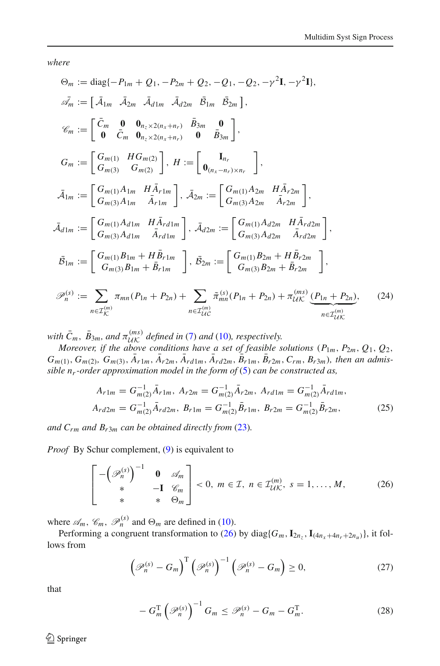*where*

$$
\Theta_m := \text{diag}\{-P_{1m} + Q_1, -P_{2m} + Q_2, -Q_1, -Q_2, -\gamma^2 \mathbf{I}, -\gamma^2 \mathbf{I}\},
$$
\n
$$
\vec{\mathcal{A}}_m := [\ \vec{A}_{1m} \ \vec{A}_{2m} \ \vec{A}_{d1m} \ \vec{A}_{d2m} \ \vec{B}_{1m} \ \vec{B}_{2m} \],
$$
\n
$$
\mathcal{C}_m := [\ \vec{C}_m \ \mathbf{0} \ \mathbf{0}_{n_z \times 2(n_x + n_r)} \ \vec{B}_{3m} \ \mathbf{0} \ \mathbf{0} \ \vec{B}_{3m} \],
$$
\n
$$
G_m := [\ \vec{C}_m \ \mathbf{0} \ \mathbf{0}_{n_z \times 2(n_x + n_r)} \ \mathbf{0} \ \vec{B}_{3m} \ \mathbf{0} \ \mathbf{0} \ \mathbf{0} \ \mathbf{0} \],
$$
\n
$$
\vec{A}_{1m} := [\ \vec{C}_{m(1)} \ \mathbf{H} \ \mathbf{G}_{m(2)} \ \mathbf{G}_{m(2)} \ \mathbf{G}_{m(2)} \ \mathbf{H} := [\ \mathbf{0}_{(n_x - n_r) \times n_r} \ \mathbf{G}_{m(3)} \ \mathbf{A}_{2m} \ \mathbf{A}_{r2m} \ \mathbf{A}_{r2m} \],
$$
\n
$$
\vec{\mathcal{A}}_{1m} := [\ \vec{C}_{m(1)} \mathbf{A}_{1m} \ \vec{A}_{r1m} \ \mathbf{H} \ \vec{A}_{r1m} \ \mathbf{G}_{m(3)} \mathbf{A}_{2m} := [\ \vec{C}_{m(1)} \mathbf{A}_{d2m} \ \vec{A}_{r2m} \ \mathbf{A}_{r2m} \ \mathbf{G}_{m(3)} \mathbf{A}_{d1m} \ \vec{A}_{r1m} \ \mathbf{G}_{m(3)} \mathbf{A}_{d1m} \ \vec{A}_{r1m} \ \mathbf{G}_{m(3)} \mathbf{A}_{d1m} \ \vec{A}_{r1m} \ \mathbf{G}_{m(3)} \mathbf{B}_{1m} + \vec{B}_{r1m} \ \mathbf{G}_{m(3)} \mathbf{B}_{1m} + \vec{B}_{r1m} \ \mathbf{G}_{m(3)} \mathbf{B}_{2m
$$

with  $\bar{C}_m$ ,  $\bar{B}_{3m}$ , and  $\pi_{l/K}^{(ms)}$  defined in [\(7\)](#page-4-3) and [\(10\)](#page-5-3), respectively.<br>Moreover, if the above conditions have a set of feasible solutions ( $P_{1m}$ ,  $P_{2m}$ ,  $Q_1$ ,  $Q_2$ ,  $G_{m(1)}, G_{m(2)}, G_{m(3)}, \bar{A}_{r1m}, \bar{A}_{r2m}, \bar{A}_{rd1m}, \bar{A}_{rd2m}, \bar{B}_{r1m}, \bar{B}_{r2m}, C_{rm}, B_{r3m})$ , then an admis*sible nr-order approximation model in the form of* [\(5\)](#page-4-0) *can be constructed as,*

$$
A_{r1m} = G_{m(2)}^{-1} \bar{A}_{r1m}, A_{r2m} = G_{m(2)}^{-1} \bar{A}_{r2m}, A_{rd1m} = G_{m(2)}^{-1} \bar{A}_{rd1m},
$$
  

$$
A_{rd2m} = G_{m(2)}^{-1} \bar{A}_{rd2m}, B_{r1m} = G_{m(2)}^{-1} \bar{B}_{r1m}, B_{r2m} = G_{m(2)}^{-1} \bar{B}_{r2m},
$$
 (25)

<span id="page-9-2"></span>*and*  $C_{rm}$  *and*  $B_{r3m}$  *can be obtained directly from* [\(23\)](#page-8-1)*.* 

<span id="page-9-0"></span>*Proof* By Schur complement, [\(9\)](#page-5-1) is equivalent to

$$
\begin{bmatrix} -\left(\mathcal{P}_n^{(s)}\right)^{-1} & \mathbf{0} & \mathcal{A}_m \\ \ast & -\mathbf{I} & \mathcal{C}_m \\ \ast & \ast & \Theta_m \end{bmatrix} < 0, \ m \in \mathcal{I}, \ n \in \mathcal{I}_{\mathcal{U}\mathcal{K}}^{(m)}, \ s = 1, \dots, M,\tag{26}
$$

where  $\mathscr{A}_m$ ,  $\mathscr{C}_m$ ,  $\mathscr{P}_n^{(s)}$  and  $\Theta_m$  are defined in [\(10\)](#page-5-3).

Performing a congruent transformation to [\(26\)](#page-9-0) by diag{ $G_m$ ,  $I_{2n_z}$ ,  $I_{(4n_x+4n_r+2n_u)}$ }, it follows from

$$
\left(\mathcal{P}_n^{(s)} - G_m\right)^{\mathrm{T}} \left(\mathcal{P}_n^{(s)}\right)^{-1} \left(\mathcal{P}_n^{(s)} - G_m\right) \ge 0,\tag{27}
$$

<span id="page-9-1"></span>that

$$
-G_m^{\mathrm{T}}\left(\mathcal{P}_n^{(s)}\right)^{-1}G_m \leq \mathcal{P}_n^{(s)} - G_m - G_m^{\mathrm{T}}.
$$
 (28)

 $\bigcirc$  Springer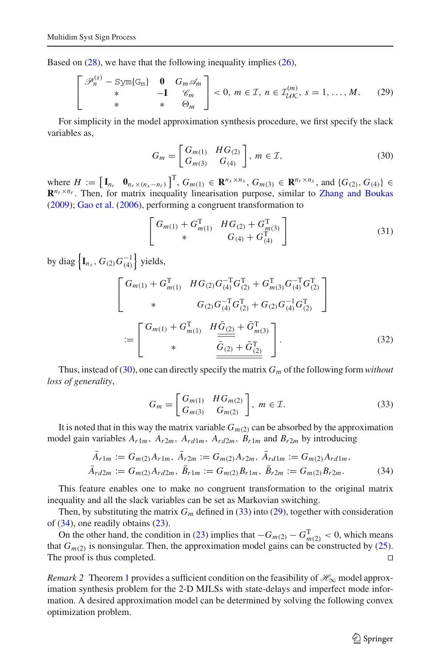<span id="page-10-2"></span>Based on [\(28\)](#page-9-1), we have that the following inequality implies [\(26\)](#page-9-0),

$$
\begin{bmatrix}\n\mathscr{P}_n^{(s)} - \text{Sym}\{\mathbf{G}_m\} & \mathbf{0} & G_m \mathscr{A}_m \\
\ast & -\mathbf{I} & \mathscr{C}_m \\
\ast & \ast & \Theta_m\n\end{bmatrix} < 0, \ m \in \mathcal{I}, \ n \in \mathcal{I}_{\mathcal{U}\mathcal{K}}^{(m)}, \ s = 1, \dots, M. \tag{29}
$$

For simplicity in the model approximation synthesis procedure, we first specify the slack variables as,

$$
G_m = \begin{bmatrix} G_{m(1)} & H G_{(2)} \\ G_{m(3)} & G_{(4)} \end{bmatrix}, m \in \mathcal{I},
$$
 (30)

<span id="page-10-0"></span>where  $H := \left[\mathbf{I}_{n_r} \mathbf{0}_{n_r \times (n_x - n_r)}\right]^T$ ,  $G_{m(1)} \in \mathbf{R}^{n_x \times n_x}$ ,  $G_{m(3)} \in \mathbf{R}^{n_r \times n_x}$ , and  $\{G_{(2)}, G_{(4)}\}$  ∈  $\mathbb{R}^{n_r \times n_r}$ . Then, for matrix inequality linearisation purpose, similar to [Zhang and Boukas](#page-21-2) [\(2009](#page-21-2)); [Gao et al.](#page-20-23) [\(2006](#page-20-23)), performing a congruent transformation to

$$
\begin{bmatrix}\nG_{m(1)} + G_{m(1)}^{\mathrm{T}} & HG_{(2)} + G_{m(3)}^{\mathrm{T}} \\
\ast & G_{(4)} + G_{(4)}^{\mathrm{T}}\n\end{bmatrix}\n\tag{31}
$$

by diag  $\left\{ \mathbf{I}_{n_{x}}, G_{(2)}G_{(4)}^{-1} \right\}$  yields,

$$
\begin{bmatrix}\nG_{m(1)} + G_{m(1)}^{\mathrm{T}} & H G_{(2)} G_{(4)}^{-\mathrm{T}} G_{(2)}^{\mathrm{T}} + G_{m(3)}^{\mathrm{T}} G_{(4)}^{-\mathrm{T}} G_{(2)}^{\mathrm{T}} \\
& \ast & G_{(2)} G_{(4)}^{-\mathrm{T}} G_{(2)}^{\mathrm{T}} + G_{(2)} G_{(4)}^{-1} G_{(2)}^{\mathrm{T}} \\
& \vdots = \begin{bmatrix}\nG_{m(1)} + G_{m(1)}^{\mathrm{T}} & H \underline{\bar{G}}_{(2)} + \bar{G}_{m(3)}^{\mathrm{T}} \\
& \ast & \underline{\bar{G}}_{(2)} + \bar{G}_{(2)}^{\mathrm{T}}\n\end{bmatrix} .\n\end{bmatrix}.
$$
\n(32)

Thus, instead of [\(30\)](#page-10-0), one can directly specify the matrix *Gm* of the following form *without loss of generality*,

$$
G_m = \begin{bmatrix} G_{m(1)} & H G_{m(2)} \\ G_{m(3)} & G_{m(2)} \end{bmatrix}, m \in \mathcal{I}.
$$
 (33)

<span id="page-10-3"></span><span id="page-10-1"></span>It is noted that in this way the matrix variable  $G_{m(2)}$  can be absorbed by the approximation model gain variables  $A_{r1m}$ ,  $A_{r2m}$ ,  $A_{rd1m}$ ,  $A_{rd2m}$ ,  $B_{r1m}$  and  $B_{r2m}$  by introducing

$$
\bar{A}_{r1m} := G_{m(2)}A_{r1m}, \ \bar{A}_{r2m} := G_{m(2)}A_{r2m}, \ \bar{A}_{rd1m} := G_{m(2)}A_{rd1m}, \bar{A}_{rd2m} := G_{m(2)}A_{rd2m}, \ \bar{B}_{r1m} := G_{m(2)}B_{r1m}, \ \bar{B}_{r2m} := G_{m(2)}B_{r2m}.
$$
\n(34)

This feature enables one to make no congruent transformation to the original matrix inequality and all the slack variables can be set as Markovian switching.

Then, by substituting the matrix  $G_m$  defined in [\(33\)](#page-10-1) into [\(29\)](#page-10-2), together with consideration of [\(34\)](#page-10-3), one readily obtains [\(23\)](#page-8-1).

On the other hand, the condition in [\(23\)](#page-8-1) implies that  $-G_{m(2)} - G_{m(2)}^T < 0$ , which means that  $G_{m(2)}$  is nonsingular. Then, the approximation model gains can be constructed by [\(25\)](#page-9-2). The proof is thus completed.

*Remark* 2 Theorem [1](#page-8-2) provides a sufficient condition on the feasibility of  $\mathcal{H}_{\infty}$  model approximation synthesis problem for the 2-D MJLSs with state-delays and imperfect mode information. A desired approximation model can be determined by solving the following convex optimization problem.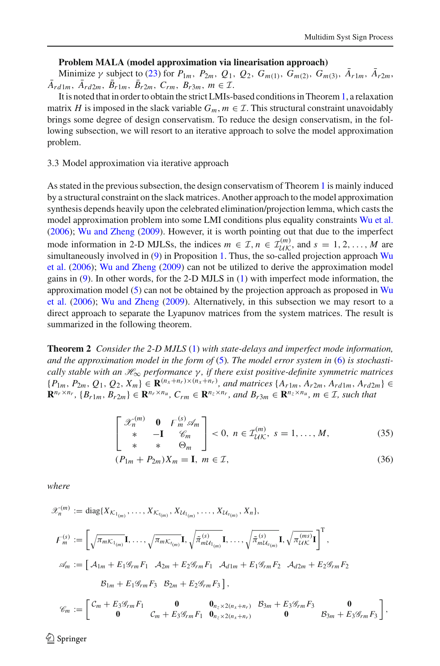#### **Problem MALA (model approximation via linearisation approach)**

Minimize γ subject to [\(23\)](#page-8-1) for  $P_{1m}$ ,  $P_{2m}$ ,  $Q_1$ ,  $Q_2$ ,  $G_{m(1)}$ ,  $G_{m(2)}$ ,  $G_{m(3)}$ ,  $A_{r1m}$ ,  $A_{r2m}$ ,  $A_{rd1m}$ ,  $A_{rd2m}$ ,  $B_{r1m}$ ,  $B_{r2m}$ ,  $C_{rm}$ ,  $B_{r3m}$ ,  $m \in \mathcal{I}$ .

It is noted that in order to obtain the strict LMIs-based conditions in Theorem[1,](#page-8-2) a relaxation matrix *H* is imposed in the slack variable  $G_m$ ,  $m \in \mathcal{I}$ . This structural constraint unavoidably brings some degree of design conservatism. To reduce the design conservatism, in the following subsection, we will resort to an iterative approach to solve the model approximation problem.

3.3 Model approximation via iterative approach

As stated in the previous subsection, the design conservatism of Theorem [1](#page-8-2) is mainly induced by a structural constraint on the slack matrices. Another approach to the model approximation synthesis depends heavily upon the celebrated elimination/projection lemma, which casts the model approximation problem into some LMI conditions plus equality constraints [Wu et al.](#page-20-22) [\(2006](#page-20-22)); [Wu and Zheng](#page-20-24) [\(2009\)](#page-20-24). However, it is worth pointing out that due to the imperfect mode information in 2-D MJLSs, the indices  $m \in \mathcal{I}, n \in \mathcal{I}_{\mathcal{U}\mathcal{K}}^{(m)}$ , and  $s = 1, 2, ..., M$  are simultaneously involved in  $(9)$  in Proposition [1.](#page-5-2) [Thus,](#page-20-22) [the](#page-20-22) [so-called](#page-20-22) [projection](#page-20-22) [approach](#page-20-22) Wu et al. [\(2006\)](#page-20-22); [Wu and Zheng](#page-20-24) [\(2009](#page-20-24)) can not be utilized to derive the approximation model gains in [\(9\)](#page-5-1). In other words, for the 2-D MJLS in [\(1\)](#page-2-0) with imperfect mode information, the appr[oximation](#page-20-22) [model](#page-20-22)  $(5)$  [can](#page-20-22) [not](#page-20-22) [be](#page-20-22) [obtained](#page-20-22) [by](#page-20-22) [the](#page-20-22) [projection](#page-20-22) [approach](#page-20-22) [as](#page-20-22) [proposed](#page-20-22) [in](#page-20-22) Wu et al. [\(2006](#page-20-22)); [Wu and Zheng](#page-20-24) [\(2009](#page-20-24)). Alternatively, in this subsection we may resort to a direct approach to separate the Lyapunov matrices from the system matrices. The result is summarized in the following theorem.

<span id="page-11-2"></span>**Theorem 2** *Consider the 2-D MJLS* [\(1\)](#page-2-0) *with state-delays and imperfect mode information, and the approximation model in the form of* [\(5\)](#page-4-0)*. The model error system in* [\(6\)](#page-4-1) *is stochastically stable with an H*∞ *performance* γ *, if there exist positive-definite symmetric matrices*  $\{P_{1m}, P_{2m}, Q_1, Q_2, X_m\} \in \mathbf{R}^{(n_x+n_r)\times(n_x+n_r)}$ , and matrices  $\{A_{r1m}, A_{r2m}, A_{rd1m}, A_{rd2m}\} \in$  $\mathbf{R}^{n_r \times n_r}$ ,  $\{B_{r1m}, B_{r2m}\}\in \mathbf{R}^{n_r \times n_u}$ ,  $C_{rm} \in \mathbf{R}^{n_z \times n_r}$ , and  $B_{r3m} \in \mathbf{R}^{n_z \times n_u}$ ,  $m \in \mathcal{I}$ , such that

$$
\begin{bmatrix}\n\mathcal{X}_n^{(m)} & \mathbf{0} & F_m^{(s)} \mathcal{A}_m \\
\ast & -\mathbf{I} & \mathcal{C}_m \\
\ast & \ast & \Theta_m\n\end{bmatrix} < 0, \ n \in \mathcal{I}_{\mathcal{U}\mathcal{K}}^{(m)}, \ s = 1, \dots, M,\tag{35}
$$

$$
(P_{1m} + P_{2m})X_m = \mathbf{I}, \ m \in \mathcal{I}, \tag{36}
$$

<span id="page-11-1"></span>*where*

<span id="page-11-0"></span>
$$
\mathcal{X}_n^{(m)} := \text{diag}\{X_{\mathcal{K}_{1_{(m)}}}, \dots, X_{\mathcal{K}_{t_{(m)}}}, X_{\mathcal{U}_{1_{(m)}}}, \dots, X_{\mathcal{U}_{v_{(m)}}}, X_n\},\
$$
\n
$$
F_m^{(s)} := \left[\sqrt{\pi_{m\mathcal{K}_{1_{(m)}}}}\mathbf{I}, \dots, \sqrt{\pi_{m\mathcal{K}_{t_{(m)}}}}\mathbf{I}, \sqrt{\pi_{m\mathcal{U}_{1_{(m)}}}}\mathbf{I}, \dots, \sqrt{\pi_{m\mathcal{U}_{v_{(m)}}}}\mathbf{I}, \sqrt{\pi_{\mathcal{U}\mathcal{K}}^{(m)}}\mathbf{I}\right]^{\mathrm{T}},\
$$
\n
$$
\mathcal{A}_m := \left[A_{1m} + E_1 \mathcal{G}_{rm} F_1 \quad \mathcal{A}_{2m} + E_2 \mathcal{G}_{rm} F_1 \quad \mathcal{A}_{d1m} + E_1 \mathcal{G}_{rm} F_2 \quad \mathcal{A}_{d2m} + E_2 \mathcal{G}_{rm} F_2 \right]
$$
\n
$$
\mathcal{B}_{1m} + E_1 \mathcal{G}_{rm} F_3 \quad \mathcal{B}_{2m} + E_2 \mathcal{G}_{rm} F_3 \right],
$$
\n
$$
\mathcal{C}_m := \left[\begin{matrix}\nC_m + E_3 \mathcal{G}_{rm} F_1 \quad \mathbf{0} & \mathbf{0}_{n_z \times 2(n_x + n_r)} & \mathcal{B}_{3m} + E_3 \mathcal{G}_{rm} F_3 \end{matrix} \right],
$$
\n
$$
\mathcal{C}_m = \begin{bmatrix}\nC_m + E_3 \mathcal{G}_{rm} F_1 \quad \mathbf{0} & \mathbf{0}_{n_z \times 2(n_x + n_r)} & \mathcal{B}_{3m} + E_3 \mathcal{G}_{rm} F_3 \end{bmatrix},
$$

 $\circledcirc$  Springer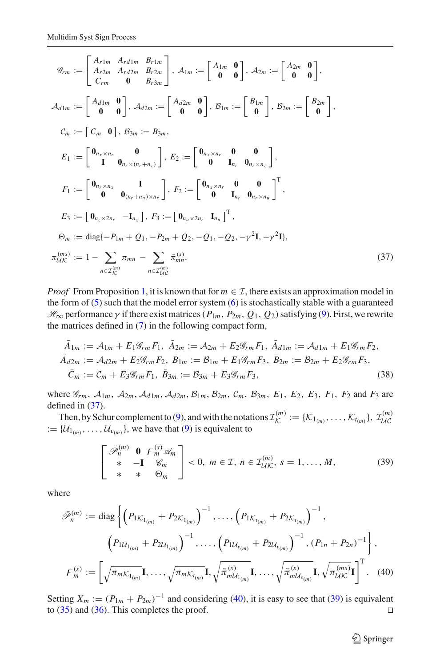$$
\mathcal{G}_{rm} := \begin{bmatrix} A_{r1m} & A_{rd1m} & B_{r1m} \\ A_{r2m} & A_{rd2m} & B_{r2m} \\ C_{rm} & 0 & B_{r3m} \end{bmatrix}, \mathcal{A}_{1m} := \begin{bmatrix} A_{1m} & 0 \\ 0 & 0 \end{bmatrix}, \mathcal{A}_{2m} := \begin{bmatrix} A_{2m} & 0 \\ 0 & 0 \end{bmatrix},
$$
\n
$$
\mathcal{A}_{d1m} := \begin{bmatrix} A_{d1m} & 0 \\ 0 & 0 \end{bmatrix}, \mathcal{A}_{d2m} := \begin{bmatrix} A_{d2m} & 0 \\ 0 & 0 \end{bmatrix}, \mathcal{B}_{1m} := \begin{bmatrix} B_{1m} \\ 0 \end{bmatrix}, \mathcal{B}_{2m} := \begin{bmatrix} B_{2m} \\ 0 \end{bmatrix},
$$
\n
$$
\mathcal{C}_{m} := \begin{bmatrix} C_{m} & 0 \\ 1 & 0 \end{bmatrix}, \mathcal{B}_{3m} := \mathcal{B}_{3m},
$$
\n
$$
E_{1} := \begin{bmatrix} 0_{n_{x} \times n_{r}} & 0 \\ 1 & 0_{n_{r} \times (n_{r} + n_{z})} \end{bmatrix}, \quad E_{2} := \begin{bmatrix} 0_{n_{x} \times n_{r}} & 0 & 0 \\ 0 & I_{n_{r}} & 0_{n_{r} \times n_{z}} \end{bmatrix},
$$
\n
$$
F_{1} := \begin{bmatrix} 0_{n_{r} \times n_{x}} & 1 \\ 0 & 0_{(n_{r} + n_{u}) \times n_{r}} \end{bmatrix}, \quad F_{2} := \begin{bmatrix} 0_{n_{x} \times n_{r}} & 0 & 0 \\ 0 & I_{n_{r}} & 0_{n_{r} \times n_{u}} \end{bmatrix}^{\mathrm{T}},
$$
\n
$$
E_{3} := \begin{bmatrix} 0_{n_{z} \times 2n_{r}} & -I_{n_{z}} \end{bmatrix}, \quad F_{3} := \begin{bmatrix} 0_{n_{u} \times 2n_{r}} & I_{n
$$

*Proof* From Proposition [1,](#page-5-2) it is known that for  $m \in \mathcal{I}$ , there exists an approximation model in the form of  $(5)$  such that the model error system  $(6)$  is stochastically stable with a guaranteed  $H_{\infty}$  performance γ if there exist matrices ( $P_{1m}$ ,  $P_{2m}$ ,  $Q_1$ ,  $Q_2$ ) satisfying [\(9\)](#page-5-1). First, we rewrite the matrices defined in [\(7\)](#page-4-3) in the following compact form,

$$
\bar{A}_{1m} := \mathcal{A}_{1m} + E_1 \mathcal{G}_{rm} F_1, \ \bar{A}_{2m} := \mathcal{A}_{2m} + E_2 \mathcal{G}_{rm} F_1, \ \bar{A}_{d1m} := \mathcal{A}_{d1m} + E_1 \mathcal{G}_{rm} F_2,
$$
\n
$$
\bar{A}_{d2m} := \mathcal{A}_{d2m} + E_2 \mathcal{G}_{rm} F_2, \ \bar{B}_{1m} := \mathcal{B}_{1m} + E_1 \mathcal{G}_{rm} F_3, \ \bar{B}_{2m} := \mathcal{B}_{2m} + E_2 \mathcal{G}_{rm} F_3,
$$
\n
$$
\bar{C}_m := C_m + E_3 \mathcal{G}_{rm} F_1, \ \bar{B}_{3m} := \mathcal{B}_{3m} + E_3 \mathcal{G}_{rm} F_3,
$$
\n(38)

where  $\mathcal{G}_{rm}$ ,  $\mathcal{A}_{1m}$ ,  $\mathcal{A}_{2m}$ ,  $\mathcal{A}_{d1m}$ ,  $\mathcal{A}_{d2m}$ ,  $\mathcal{B}_{1m}$ ,  $\mathcal{B}_{2m}$ ,  $\mathcal{C}_m$ ,  $\mathcal{B}_{3m}$ ,  $E_1$ ,  $E_2$ ,  $E_3$ ,  $F_1$ ,  $F_2$  and  $F_3$  are defined in [\(37\)](#page-11-0).

Then, by Schur complement to [\(9\)](#page-5-1), and with the notations  $\mathcal{I}_{\mathcal{K}}^{(m)} := {\{\mathcal{K}_1_{(m)}, \dots, \mathcal{K}_{t_{(m)}}\}, \mathcal{I}_{\mathcal{U}\mathcal{C}}^{(m)}}$  $:= \{U_{1_{(m)}}, \ldots, U_{v_{(m)}}\}$ , we have that [\(9\)](#page-5-1) is equivalent to

$$
\begin{bmatrix}\n\bar{\mathscr{P}}_n^{(m)} & \mathbf{0} & F_m^{(s)} \mathscr{A}_m \\
\ast & -\mathbf{I} & \mathscr{C}_m \\
\ast & \ast & \Theta_m\n\end{bmatrix} < 0, \ m \in \mathcal{I}, \ n \in \mathcal{I}_{\mathcal{U}\mathcal{K}}^{(m)}, \ s = 1, \dots, M,\tag{39}
$$

<span id="page-12-1"></span><span id="page-12-0"></span>where

$$
\bar{\mathcal{P}}_{n}^{(m)} := \text{diag}\left\{ \left( P_{1K_{1_{(m)}}} + P_{2K_{1_{(m)}}} \right)^{-1}, \dots, \left( P_{1K_{t_{(m)}}} + P_{2K_{t_{(m)}}} \right)^{-1}, \\ \left( P_{1U_{1_{(m)}}} + P_{2U_{1_{(m)}}} \right)^{-1}, \dots, \left( P_{1U_{v_{(m)}}} + P_{2U_{v_{(m)}}} \right)^{-1}, \left( P_{1n} + P_{2n} \right)^{-1} \right\}, \\ F_{m}^{(s)} := \left[ \sqrt{\pi_{mK_{1_{(m)}}}} \mathbf{I}, \dots, \sqrt{\pi_{mK_{t_{(m)}}}} \mathbf{I}, \sqrt{\pi_{mU_{1_{(m)}}}} \mathbf{I}, \dots, \sqrt{\pi_{mU_{v_{(m)}}}} \mathbf{I}, \sqrt{\pi_{UK}^{(m)}} \mathbf{I} \right]^{\mathrm{T}}. \tag{40}
$$

Setting  $X_m := (P_{1m} + P_{2m})^{-1}$  and considering [\(40\)](#page-12-0), it is easy to see that [\(39\)](#page-12-1) is equivalent to  $(35)$  and  $(36)$ . This completes the proof.

 $\hat{\mathfrak{D}}$  Springer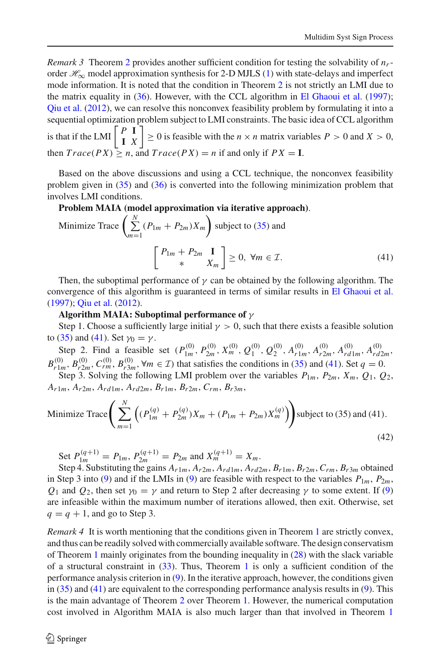*Remark 3* Theorem [2](#page-11-2) provides another sufficient condition for testing the solvability of *nr*order  $\mathcal{H}_{\infty}$  model approximation synthesis for 2-D MJLS [\(1\)](#page-2-0) with state-delays and imperfect mode information. It is noted that the condition in Theorem [2](#page-11-2) is not strictly an LMI due to the matrix equality in [\(36\)](#page-11-1). However, with the CCL algorithm in [El Ghaoui et al.](#page-20-26) [\(1997](#page-20-26)); Que et al.  $(2012)$  $(2012)$ , we can resolve this nonconvex feasibility problem by formulating it into a sequential optimization problem subject to LMI constraints. The basic idea of CCL algorithm is that if the LMI  $\begin{bmatrix} P & I \\ I & X \end{bmatrix}$  $\leq$  0 is feasible with the *n* × *n* matrix variables *P* > 0 and *X* > 0, then  $Trace(PX) \geq n$ , and  $Trace(PX) = n$  if and only if  $PX = I$ .

Based on the above discussions and using a CCL technique, the nonconvex feasibility problem given in [\(35\)](#page-11-1) and [\(36\)](#page-11-1) is converted into the following minimization problem that involves LMI conditions.

# **Problem MAIA (model approximation via iterative approach)**.

Minimize Trace 
$$
\left(\sum_{m=1}^{N} (P_{1m} + P_{2m})X_m\right)
$$
 subject to (35) and  

$$
\left[\begin{array}{c} P_{1m} + P_{2m} & \mathbf{I} \\ * & X_m \end{array}\right] \ge 0, \forall m \in \mathcal{I}.
$$
 (41)

<span id="page-13-0"></span>Then, the suboptimal performance of  $\gamma$  can be obtained by the following algorithm. The convergence of this algorithm is guaranteed in terms of similar results in [El Ghaoui et al.](#page-20-26) [\(1997](#page-20-26)); [Qiu et al.](#page-20-27) [\(2012\)](#page-20-27).

## **Algorithm MAIA: Suboptimal performance of** γ

Step 1. Choose a sufficiently large initial  $\gamma > 0$ , such that there exists a feasible solution to [\(35\)](#page-11-1) and [\(41\)](#page-13-0). Set  $\gamma_0 = \gamma$ .

Step 2. Find a feasible set  $(P_{1m}^{(0)}, P_{2m}^{(0)}, X_m^{(0)}, Q_1^{(0)}, Q_2^{(0)}, A_{r1m}^{(0)}, A_{r2m}^{(0)}, A_{rd1m}^{(0)}, A_{rd2m}^{(0)},$  $B_{r1m}^{(0)}$ ,  $B_{r2m}^{(0)}$ ,  $C_{rm}^{(0)}$ ,  $B_{r3m}^{(0)}$ ,  $\forall m \in \mathcal{I}$ ) that satisfies the conditions in [\(35\)](#page-11-1) and [\(41\)](#page-13-0). Set  $q = 0$ .

Step 3. Solving the following LMI problem over the variables  $P_{1m}$ ,  $P_{2m}$ ,  $X_m$ ,  $Q_1$ ,  $Q_2$ , *Ar*1*m*, *Ar*2*m*, *Ard*1*m*, *Ard*2*m*, *Br*1*m*, *Br*2*m*, *Crm*, *Br*3*m*,

Minimize Trace 
$$
\left( \sum_{m=1}^{N} \left( (P_{1m}^{(q)} + P_{2m}^{(q)}) X_m + (P_{1m} + P_{2m}) X_m^{(q)} \right) \right)
$$
 subject to (35) and (41). (42)

Set 
$$
P_{1m}^{(q+1)} = P_{1m}, P_{2m}^{(q+1)} = P_{2m}
$$
 and  $X_m^{(q+1)} = X_m$ .

Step 4. Substituting the gains  $A_{r1m}$ ,  $A_{r2m}$ ,  $A_{rd1m}$ ,  $A_{rd2m}$ ,  $B_{r1m}$ ,  $B_{r2m}$ ,  $C_{rm}$ ,  $B_{r3m}$  obtained in Step 3 into [\(9\)](#page-5-1) and if the LMIs in (9) are feasible with respect to the variables  $P_{1m}$ ,  $P_{2m}$ , *Q*<sub>1</sub> and *Q*<sub>2</sub>, then set  $\gamma_0 = \gamma$  and return to Step 2 after decreasing  $\gamma$  to some extent. If [\(9\)](#page-5-1) are infeasible within the maximum number of iterations allowed, then exit. Otherwise, set  $q = q + 1$ , and go to Step 3.

*Remark* 4 It is worth mentioning that the conditions given in Theorem [1](#page-8-2) are strictly convex, and thus can be readily solved with commercially available software. The design conservatism of Theorem [1](#page-8-2) mainly originates from the bounding inequality in [\(28\)](#page-9-1) with the slack variable of a structural constraint in [\(33\)](#page-10-1). Thus, Theorem [1](#page-8-2) is only a sufficient condition of the performance analysis criterion in [\(9\)](#page-5-1). In the iterative approach, however, the conditions given in [\(35\)](#page-11-1) and [\(41\)](#page-13-0) are equivalent to the corresponding performance analysis results in [\(9\)](#page-5-1). This is the main advantage of Theorem [2](#page-11-2) over Theorem [1.](#page-8-2) However, the numerical computation cost involved in Algorithm MAIA is also much larger than that involved in Theorem [1](#page-8-2)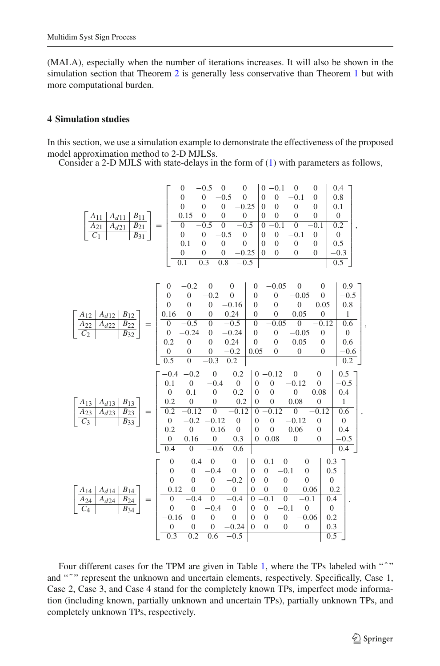(MALA), especially when the number of iterations increases. It will also be shown in the simulation section that Theorem [2](#page-11-2) is generally less conservative than Theorem [1](#page-8-2) but with more computational burden.

# **4 Simulation studies**

In this section, we use a simulation example to demonstrate the effectiveness of the proposed model approximation method to 2-D MJLSs.

Consider a 2-D MJLS with state-delays in the form of [\(1\)](#page-2-0) with parameters as follows,

⎡ ⎣ *A*11 *Ad*11 *B*11 *A*21 *Ad*21 *B*21 *C*1 *B*31 ⎤ <sup>⎦</sup> <sup>=</sup> ⎡ ⎢ ⎢ ⎢ ⎢ ⎢ ⎢ ⎢ ⎢ ⎢ ⎢ ⎢ ⎣ 0 −0.50 0 0 −0.10 0 0.4 0 0 −0.5 0 0 0 −0.1 0 0.8 0 00 −0.25 00 0 0 0.1 −0.15 0 0 0 00 0 0 0 0 −0.5 0 −0.5 0 −0.1 0 −0.1 0.2 0 0 −0.5 0 0 0 −0.1 0 0 −0.10 0 0 00 0 0 0.5 0 00 −0.25 00 0 0 −0.3 0.1 0.3 0.8 −0.5 0.5 ⎤ ⎥ ⎥ ⎥ ⎥ ⎥ ⎥ ⎥ ⎥ ⎥ ⎥ ⎥ ⎦ ,

|                                                                                                                                            | $\overline{0}$                     | $-0.2$           | $\mathbf{0}$     | $\overline{0}$   | $\boldsymbol{0}$ | $-0.05$                            | $\overline{0}$           | $\overline{0}$      | 0.9              |  |
|--------------------------------------------------------------------------------------------------------------------------------------------|------------------------------------|------------------|------------------|------------------|------------------|------------------------------------|--------------------------|---------------------|------------------|--|
|                                                                                                                                            | $\overline{0}$                     | $\boldsymbol{0}$ | $-0.2$           | $\overline{0}$   | $\Omega$         | $\theta$                           | $-0.05$                  | $\overline{0}$      | $-0.5$           |  |
|                                                                                                                                            | $\overline{0}$                     | $\theta$         | $\boldsymbol{0}$ | $-0.16$          | $\mathbf{0}$     | $\overline{0}$                     | $\mathbf{0}$             | 0.05                | 0.8              |  |
| $B_{12}$<br>$A_{d12}$<br>$A_{12}$<br>$\frac{\overline{A_{22}}}{C_2}$<br>$\frac{\overline{B_{22}}}{B_{32}}$<br>$A_{d22}$<br>$=$             | 0.16                               | $\overline{0}$   | $\mathbf{0}$     | 0.24             | $\mathbf{0}$     | $\overline{0}$                     | 0.05                     | $\boldsymbol{0}$    | 1                |  |
|                                                                                                                                            | $\boldsymbol{0}$                   | $-0.5$           | $\mathbf{0}$     | $-0.5$           | $\mathbf{0}$     | 0.05                               | $\boldsymbol{0}$         | 0.12                | 0.6              |  |
|                                                                                                                                            | $\boldsymbol{0}$                   | $-0.24$          | $\mathbf{0}$     | $-0.24$          | $\mathbf{0}$     | $\overline{0}$                     | $-0.05$                  | $\overline{0}$      | $\overline{0}$   |  |
|                                                                                                                                            | 0.2                                | $\mathbf{0}$     | $\mathbf{0}$     | 0.24             | $\mathbf{0}$     | $\overline{0}$                     | 0.05                     | $\theta$            | 0.6              |  |
|                                                                                                                                            | $\boldsymbol{0}$                   | $\mathbf{0}$     | 0                | $-0.2$           | 0.05             | $\overline{0}$                     | $\boldsymbol{0}$         | $\theta$            | $-0.6$           |  |
|                                                                                                                                            | 0.5                                | $\boldsymbol{0}$ | $=0.3$           | 0.2              |                  |                                    |                          |                     | $\overline{0.2}$ |  |
|                                                                                                                                            | $-0.4$                             | $-0.2$           | $\boldsymbol{0}$ | 0.2              |                  | $0 - 0.12$                         | $\mathbf{0}$             | $\overline{0}$      | 0.5              |  |
|                                                                                                                                            | 0.1                                | $\overline{0}$   | $-0.4$           | $\mathbf{0}$     | $\theta$         | $\mathbf{0}$                       | $-0.12$                  | $\mathbf{0}$        | $-0.5$           |  |
|                                                                                                                                            | $\overline{0}$                     | 0.1              | $\mathbf{0}$     | 0.2              | $\Omega$         | $\Omega$                           | $\mathbf{0}$             | 0.08                | 0.4              |  |
| $A_{d13}$<br>$B_{13}$                                                                                                                      | 0.2                                | $\mathbf{0}$     | $\boldsymbol{0}$ | $-0.2$           | $\theta$         | $\mathbf{0}$                       | 0.08                     | $\mathbf{0}$        | $\mathbf{1}$     |  |
| $\begin{array}{ c c }\n\hline\nA_{13} & A_{23} \\ \hline\nC_3 & & \\\hline\n\end{array}$<br>$B_{23}$<br>$A_{d23}$<br>$=$                   | 0.2                                | $-0.12$          | $\mathbf{0}$     | $-0.12$          | $\Omega$         | $-0.12$                            | $\mathbf{0}$             | $-0.12$             | 0.6              |  |
| $B_{33}$                                                                                                                                   | $\boldsymbol{0}$                   | $-0.2$           | $-0.12$          | $\boldsymbol{0}$ | $\Omega$         | $\mathbf{0}$                       | $-0.12$                  | $\theta$            | $\overline{0}$   |  |
|                                                                                                                                            | 0.2                                | $\overline{0}$   | $-0.16$          | $\overline{0}$   | $\theta$         | $\Omega$                           | 0.06                     | $\mathbf{0}$        | 0.4              |  |
|                                                                                                                                            | $\mathbf{0}$                       | 0.16             | $\boldsymbol{0}$ | 0.3              | $\theta$         | 0.08                               | $\boldsymbol{0}$         | $\mathbf{0}$        | $-0.5$           |  |
|                                                                                                                                            | 0.4                                | $\boldsymbol{0}$ | $-0.6$           | 0.6              |                  |                                    |                          |                     | 0.4              |  |
|                                                                                                                                            | $\overline{0}$                     | $-0.4$           | $\mathbf{0}$     | $\mathbf{0}$     | $0 - 0.1$        | $\boldsymbol{0}$                   | $\overline{0}$           | 0.3                 |                  |  |
|                                                                                                                                            | $\overline{0}$                     | $\mathbf{0}$     | $-0.4$           | $\mathbf{0}$     | $\overline{0}$   | $\mathbf{0}$<br>$-0.1$             | $\mathbf{0}$             |                     |                  |  |
|                                                                                                                                            | $\overline{0}$                     | $\overline{0}$   | $\boldsymbol{0}$ | $-0.2$           | $\Omega$         | $\overline{0}$<br>$\boldsymbol{0}$ | $\mathbf{0}$             | 0.5<br>$\mathbf{0}$ |                  |  |
|                                                                                                                                            | $-0.12$                            | $\boldsymbol{0}$ | $\mathbf{0}$     | $\boldsymbol{0}$ | $\overline{0}$   | $\overline{0}$<br>$\boldsymbol{0}$ | $-0.06$                  | $-0.2$              |                  |  |
| $B_{\underline{1}\underline{4}}$                                                                                                           |                                    | $-0.4$           | $\mathbf{0}$     | $-0.4$           | $\overline{0}$   | $-0.1$<br>$\boldsymbol{0}$         |                          | 0.4                 |                  |  |
| $\begin{array}{ c c c } \hline A_{14} & A_{d14} & A_{24} & A_{d24} \\ \hline C_4 & & & \hline \end{array}$<br>$rac{B_{24}}{B_{34}}$<br>$=$ | $\boldsymbol{0}$<br>$\overline{0}$ | $\overline{0}$   | $-0.4$           | $\boldsymbol{0}$ | $\theta$         | $\overline{0}$<br>$-0.1$           | $-0.1$<br>$\overline{0}$ | $\mathbf{0}$        |                  |  |
|                                                                                                                                            | $-0.16$                            | $\mathbf{0}$     | $\boldsymbol{0}$ | $\mathbf{0}$     | $\theta$         | $\overline{0}$<br>$\boldsymbol{0}$ | $-0.06$                  | 0.2                 |                  |  |
|                                                                                                                                            | $\overline{0}$                     | $\mathbf{0}$     | $\boldsymbol{0}$ | $-0.24$          | $\overline{0}$   | $\boldsymbol{0}$<br>$\overline{0}$ | $\mathbf{0}$             | 0.3                 |                  |  |
|                                                                                                                                            | 0.3                                | 0.2              | 0.6              | $-0.5$           |                  |                                    |                          | 0.5                 |                  |  |
|                                                                                                                                            |                                    |                  |                  |                  |                  |                                    |                          |                     |                  |  |

Four different cases for the TPM are given in Table [1,](#page-15-0) where the TPs labeled with "<sup>^</sup>" and """ represent the unknown and uncertain elements, respectively. Specifically, Case 1, Case 2, Case 3, and Case 4 stand for the completely known TPs, imperfect mode information (including known, partially unknown and uncertain TPs), partially unknown TPs, and completely unknown TPs, respectively.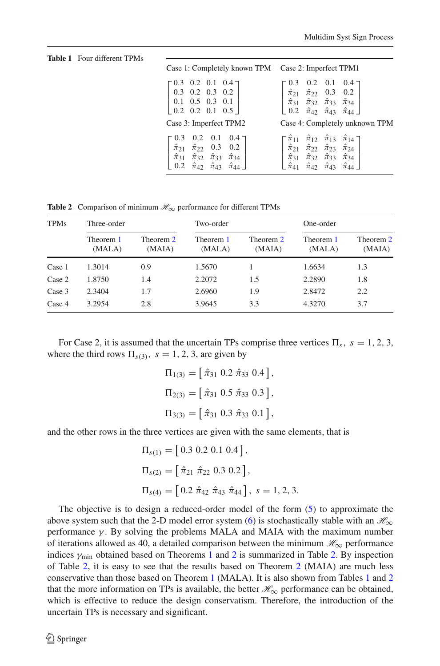<span id="page-15-0"></span>**Table 1** Four different TPMs

| Case 1: Completely known TPM Case 2: Imperfect TPM1                                                                                                                                                                                                        |                                                                                                                                                                                                                                                                                                                                 |
|------------------------------------------------------------------------------------------------------------------------------------------------------------------------------------------------------------------------------------------------------------|---------------------------------------------------------------------------------------------------------------------------------------------------------------------------------------------------------------------------------------------------------------------------------------------------------------------------------|
| $\begin{bmatrix} 0.3 & 0.2 & 0.1 & 0.4 \end{bmatrix}$<br>$\begin{bmatrix} 0.3 & 0.2 & 0.3 & 0.2 \end{bmatrix}$<br>$\begin{bmatrix} 0.1 & 0.5 & 0.3 & 0.1 \end{bmatrix}$<br>$\begin{bmatrix} 0.2 & 0.2 & 0.1 & 0.5 \end{bmatrix}$<br>Case 3: Imperfect TPM2 | $\left[\begin{array}{cccc} 0.3 & 0.2 & 0.1 & 0.4 \\ \hat{\pi}_{21} & \hat{\pi}_{22} & 0.3 & 0.2 \\ \hat{\pi}_{31} & \tilde{\pi}_{32} & \hat{\pi}_{33} & \tilde{\pi}_{34} \\ 0.2 & \hat{\pi}_{42} & \hat{\pi}_{43} & \hat{\pi}_{44} \end{array}\right]$<br>Case 4: Completely unknown TPM                                        |
| $0.3$ 0.2 0.1 0.4 ]<br>$\hat{\pi}_{21}$ $\hat{\pi}_{22}$ 0.3 0.2<br>$\left  \hat{\pi}_{31} \hat{\pi}_{32} \hat{\pi}_{33} \hat{\pi}_{34} \right $<br>0.2 $\hat{\pi}_{42}$ $\hat{\pi}_{43}$ $\hat{\pi}_{44}$                                                 | $\left[\begin{array}{cccc} \hat{\pi}_{11} & \hat{\pi}_{12} & \hat{\pi}_{13} & \hat{\pi}_{14} \\ \hat{\pi}_{21} & \hat{\pi}_{22} & \hat{\pi}_{23} & \hat{\pi}_{24} \\ \hat{\pi}_{31} & \hat{\pi}_{32} & \hat{\pi}_{33} & \hat{\pi}_{34} \\ \hat{\pi}_{41} & \hat{\pi}_{42} & \hat{\pi}_{43} & \hat{\pi}_{44} \end{array}\right]$ |

**Table 2** Comparison of minimum  $\mathcal{H}_{\infty}$  performance for different TPMs

<span id="page-15-1"></span>

| <b>TPMs</b> | Three-order         |                     | Two-order           |                     | One-order           |                     |  |
|-------------|---------------------|---------------------|---------------------|---------------------|---------------------|---------------------|--|
|             | Theorem 1<br>(MALA) | Theorem 2<br>(MAIA) | Theorem 1<br>(MALA) | Theorem 2<br>(MAIA) | Theorem 1<br>(MALA) | Theorem 2<br>(MAIA) |  |
| Case 1      | 1.3014              | 0.9                 | 1.5670              |                     | 1.6634              | 1.3                 |  |
| Case 2      | 1.8750              | 1.4                 | 2.2072              | 1.5                 | 2.2890              | 1.8                 |  |
| Case 3      | 2.3404              | 1.7                 | 2.6960              | 1.9                 | 2.8472              | 2.2                 |  |
| Case 4      | 3.2954              | 2.8                 | 3.9645              | 3.3                 | 4.3270              | 3.7                 |  |

For Case 2, it is assumed that the uncertain TPs comprise three vertices  $\Pi_s$ ,  $s = 1, 2, 3$ , where the third rows  $\Pi_{s(3)}$ ,  $s = 1, 2, 3$ , are given by

> $\Pi_{1(3)} = [\hat{\pi}_{31} \ 0.2 \ \hat{\pi}_{33} \ 0.4],$  $\Pi_{2(3)} = [\hat{\pi}_{31} \ 0.5 \ \hat{\pi}_{33} \ 0.3],$  $\Pi_{3(3)} = [\hat{\pi}_{31} \ 0.3 \ \hat{\pi}_{33} \ 0.1],$

and the other rows in the three vertices are given with the same elements, that is

$$
\Pi_{s(1)} = [0.3 \ 0.2 \ 0.1 \ 0.4],
$$
  
\n
$$
\Pi_{s(2)} = [\hat{\pi}_{21} \ \hat{\pi}_{22} \ 0.3 \ 0.2],
$$
  
\n
$$
\Pi_{s(4)} = [0.2 \ \hat{\pi}_{42} \ \hat{\pi}_{43} \ \hat{\pi}_{44}], \ s = 1, 2, 3.
$$

The objective is to design a reduced-order model of the form [\(5\)](#page-4-0) to approximate the above system such that the 2-D model error system [\(6\)](#page-4-1) is stochastically stable with an  $\mathcal{H}_{\infty}$ performance  $\gamma$ . By solving the problems MALA and MAIA with the maximum number of iterations allowed as 40, a detailed comparison between the minimum  $\mathcal{H}_{\infty}$  performance indices  $\gamma_{\text{min}}$  obtained based on Theorems [1](#page-8-2) and [2](#page-11-2) is summarized in Table [2.](#page-15-1) By inspection of Table [2,](#page-15-1) it is easy to see that the results based on Theorem [2](#page-11-2) (MAIA) are much less conservative than those based on Theorem [1](#page-8-2) (MALA). It is also shown from Tables [1](#page-15-0) and [2](#page-15-1) that the more information on TPs is available, the better  $\mathcal{H}_{\infty}$  performance can be obtained, which is effective to reduce the design conservatism. Therefore, the introduction of the uncertain TPs is necessary and significant.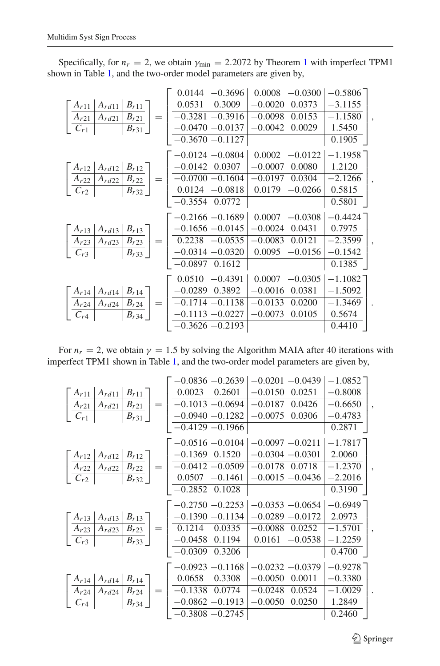Specifically, for  $n_r = 2$ , we obtain  $\gamma_{\text{min}} = 2.2072$  by Theorem [1](#page-8-2) with imperfect TPM1 shown in Table [1,](#page-15-0) and the two-order model parameters are given by,

|                                                                                                                                                                                                                                                                                | $0.0144 - 0.3696$                              | $0.0008 - 0.0300$   | $-0.5806$ <sup>-</sup> |  |
|--------------------------------------------------------------------------------------------------------------------------------------------------------------------------------------------------------------------------------------------------------------------------------|------------------------------------------------|---------------------|------------------------|--|
| $B_{r11}$<br>$A_{r11}$ $A_{rd11}$                                                                                                                                                                                                                                              | 0.0531<br>0.3009                               | $-0.0020$<br>0.0373 | $-3.1155$              |  |
| $\frac{\boxed{A_{r21} \mid A_{rd21}}}{C_{r1}}$<br>$B_{r21}$   =                                                                                                                                                                                                                | $-0.3281 - 0.3916$                             | $-0.0098$<br>0.0153 | $-1.1580$              |  |
| $B_{r31}$                                                                                                                                                                                                                                                                      | $-0.0470 - 0.0137$                             | $-0.0042$<br>0.0029 | 1.5450                 |  |
|                                                                                                                                                                                                                                                                                | $-0.3670 - 0.1127$                             |                     | 0.1905                 |  |
|                                                                                                                                                                                                                                                                                | $-0.0124 - 0.0804$                             | 0.0002<br>$-0.0122$ | $-1.1958$ <sup>-</sup> |  |
|                                                                                                                                                                                                                                                                                |                                                | $-0.0007$<br>0.0080 | 1.2120                 |  |
| $\left[ \begin{array}{c c} A_{r12} & A_{rd12} & B_{r12} \\ \hline A_{r22} & A_{rd22} & B_{r22} \\ \hline C_{r2} & B_{r32} \end{array} \right] = \left[ \begin{array}{c} -0.0142 & 0.0307 \\ \hline -0.0700 & -0.1604 \\ \hline 0.0124 & -0.0818 \\ \hline \end{array} \right]$ |                                                | $-0.0197$<br>0.0304 | $-2.1266$              |  |
|                                                                                                                                                                                                                                                                                | $\frac{0.0124 - 0.0818}{-0.3554 \cdot 0.0772}$ | 0.0179<br>$-0.0266$ | 0.5815                 |  |
|                                                                                                                                                                                                                                                                                |                                                |                     | 0.5801                 |  |
|                                                                                                                                                                                                                                                                                | $-0.2166 - 0.1689$                             | $0.0007 -0.0308$    | $-0.4424$ ]            |  |
|                                                                                                                                                                                                                                                                                | $-0.1656 - 0.0145$                             | $-0.0024$<br>0.0431 | 0.7975                 |  |
|                                                                                                                                                                                                                                                                                | $0.2238 - 0.0535$                              | $-0.0083$<br>0.0121 | $-2.3599$              |  |
| $\left[\begin{array}{c c}\nA_{r13} & A_{rd13} & B_{r13} \\ \hline\nA_{r23} & A_{rd23} & B_{r23} \\ \hline\nC_{r3} & B_{r33}\n\end{array}\right] =\n\left $                                                                                                                     | $\vert$ -0.0314 -0.0320                        | $-0.0156$<br>0.0095 | $-0.1542$              |  |
|                                                                                                                                                                                                                                                                                | $-0.0897$ $0.1612$                             |                     | 0.1385                 |  |
|                                                                                                                                                                                                                                                                                | 0.0510<br>$-0.4391$                            | $-0.0305$<br>0.0007 | $-1.1082$              |  |
|                                                                                                                                                                                                                                                                                | $-0.0289$<br>0.3892                            | $-0.0016$<br>0.0381 | $-1.5092$              |  |
|                                                                                                                                                                                                                                                                                | $-0.1714 - 0.1138$                             | $-0.0133$<br>0.0200 | $-1.3469$              |  |
| $\left[ \begin{array}{c c c} A_{r14} & A_{rd14} & B_{r14} \\ \hline A_{r24} & A_{rd24} & B_{r24} \\ \hline C_{r4} & B_{r34} \end{array} \right] =$                                                                                                                             | $-0.1113 - 0.0227$                             | $-0.0073$<br>0.0105 | 0.5674                 |  |
|                                                                                                                                                                                                                                                                                | $-0.3626 - 0.2193$                             |                     | 0.4410                 |  |

For  $n_r = 2$ , we obtain  $\gamma = 1.5$  by solving the Algorithm MAIA after 40 iterations with imperfect TPM1 shown in Table [1,](#page-15-0) and the two-order model parameters are given by,

|                                                                                                                                                                      | $-0.0836 - 0.2639$                 | $-0.0201 - 0.0439$  | $-1.0852$ |  |
|----------------------------------------------------------------------------------------------------------------------------------------------------------------------|------------------------------------|---------------------|-----------|--|
| $A_{r11}$ $A_{rd11}$ $B_{r11}$                                                                                                                                       | 0.0023<br>0.2601                   | $-0.0150$<br>0.0251 | $-0.8008$ |  |
| $B_{r21}$                                                                                                                                                            | $=$ $-0.1013 - 0.0694$             | $-0.0187$<br>0.0426 | $-0.6650$ |  |
| $\frac{A_{r21}   A_{rd21} }{C_{r1}}$<br>$\overline{B_{r31}}$                                                                                                         | $-0.0940 - 0.1282$                 | $-0.0075$<br>0.0306 | $-0.4783$ |  |
|                                                                                                                                                                      | $-0.4129 - 0.1966$                 |                     | 0.2871    |  |
|                                                                                                                                                                      | $-0.0516 - 0.0104$                 | $-0.0097 - 0.0211$  | $-1.7817$ |  |
| $\left[\begin{array}{c c c} A_{r12} & A_{rd12} & B_{r12} \ \hline A_{r22} & A_{rd22} & B_{r22} \ \hline C_{r2} & B_{r32} \end{array}\right] =$                       | $-0.1369$ 0.1520                   | $-0.0304 - 0.0301$  | 2.0060    |  |
|                                                                                                                                                                      | $=$   $-0.0412 - 0.0509$           | $-0.0178$ 0.0718    | $-1.2370$ |  |
| $\left  \overline{B_{r32}} \right $                                                                                                                                  | $0.0507 -0.1461$                   | $-0.0015 - 0.0436$  | $-2.2016$ |  |
|                                                                                                                                                                      | $-0.2852$ 0.1028                   |                     | 0.3190    |  |
|                                                                                                                                                                      |                                    |                     |           |  |
|                                                                                                                                                                      | $-0.2750 - 0.2253$                 | $-0.0353 - 0.0654$  | $-0.6949$ |  |
|                                                                                                                                                                      | $\vert -0.1390 -0.1134 \vert$      | $-0.0289 - 0.0172$  | 2.0973    |  |
|                                                                                                                                                                      | 0.0335                             | $-0.0088$<br>0.0252 | $-1.5701$ |  |
|                                                                                                                                                                      | $\vert -0.0458 \vert 0.1194 \vert$ | 0.0161<br>$-0.0538$ | $-1.2259$ |  |
| $\left[\frac{A_{r13}}{A_{r23}}\frac{A_{rd13}}{A_{rd23}}\frac{B_{r13}}{B_{r23}}\right] = \left[\frac{-0.1390}{0.1214}\right]$<br>$\left[\frac{C_{r3}}{C_{r3}}\right]$ | $-0.0309$ 0.3206                   |                     | $0.4700$  |  |
|                                                                                                                                                                      | $-0.0923 - 0.1168$                 | $-0.0232 - 0.0379$  | $-0.9278$ |  |
|                                                                                                                                                                      | 0.0658<br>0.3308                   | $-0.0050$<br>0.0011 | $-0.3380$ |  |
| $=$                                                                                                                                                                  | $-0.1338$<br>0.0774                | $-0.0248$<br>0.0524 | $-1.0029$ |  |
| $\left[\begin{array}{c c c} A_{r14} & A_{rd14} & B_{r14} \\ \hline A_{r24} & A_{rd24} & B_{r24} \\ \hline C_{r4} & B_{r34} \end{array}\right]=$                      | $-0.0862 - 0.1913$                 | $-0.0050$<br>0.0250 | 1.2849    |  |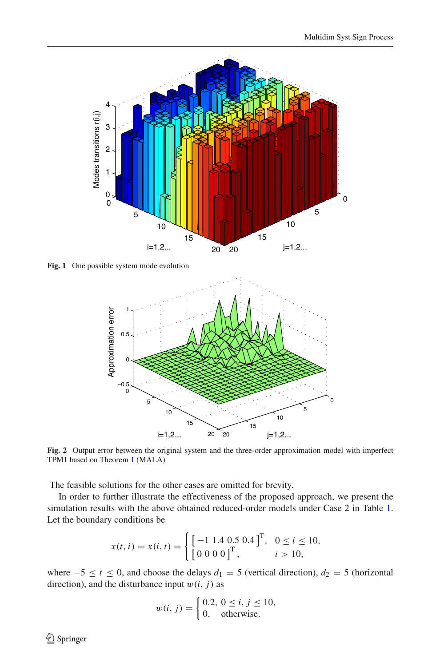

<span id="page-17-0"></span>**Fig. 1** One possible system mode evolution



<span id="page-17-1"></span>**Fig. 2** Output error between the original system and the three-order approximation model with imperfect TPM1 based on Theorem [1](#page-8-2) (MALA)

The feasible solutions for the other cases are omitted for brevity.

In order to further illustrate the effectiveness of the proposed approach, we present the simulation results with the above obtained reduced-order models under Case 2 in Table [1.](#page-15-0) Let the boundary conditions be

$$
x(t, i) = x(i, t) = \begin{cases} \left[ -1 \ 1.4 \ 0.5 \ 0.4 \right]^{\mathrm{T}}, & 0 \le i \le 10, \\ \left[ 0 \ 0 \ 0 \ 0 \right]^{\mathrm{T}}, & i > 10, \end{cases}
$$

where  $-5 \le t \le 0$ , and choose the delays  $d_1 = 5$  (vertical direction),  $d_2 = 5$  (horizontal direction), and the disturbance input  $w(i, j)$  as

$$
w(i, j) = \begin{cases} 0.2, \ 0 \le i, \ j \le 10, \\ 0, \ \ \text{otherwise.} \end{cases}
$$

 $\bigcirc$  Springer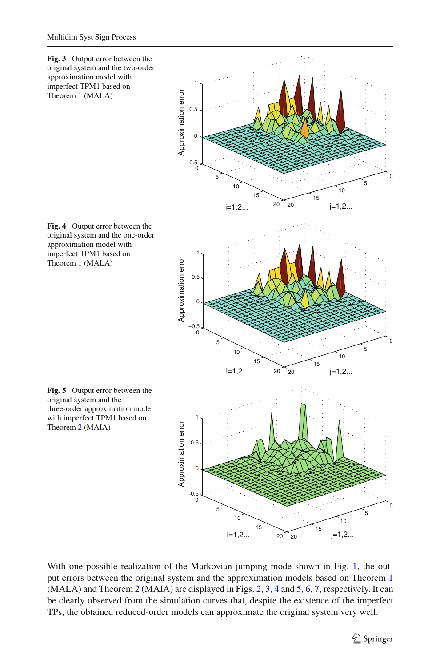<span id="page-18-1"></span><span id="page-18-0"></span>

<span id="page-18-2"></span>With one possible realization of the Markovian jumping mode shown in Fig. [1,](#page-17-0) the output errors between the original system and the approximation models based on Theorem [1](#page-8-2) (MALA) and Theorem [2](#page-11-2) (MAIA) are displayed in Figs. [2,](#page-17-1) [3,](#page-18-0) [4](#page-18-1) and [5,](#page-18-2) [6,](#page-19-0) [7,](#page-19-1) respectively. It can be clearly observed from the simulation curves that, despite the existence of the imperfect TPs, the obtained reduced-order models can approximate the original system very well.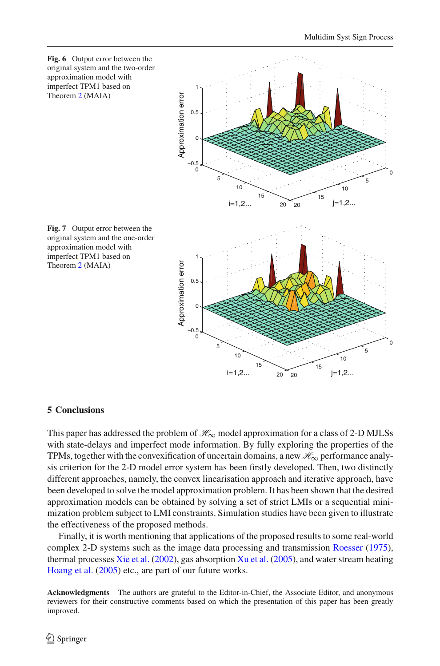<span id="page-19-0"></span>

## <span id="page-19-1"></span>**5 Conclusions**

This paper has addressed the problem of  $H_{\infty}$  model approximation for a class of 2-D MJLSs with state-delays and imperfect mode information. By fully exploring the properties of the TPMs, together with the convexification of uncertain domains, a new  $\mathcal{H}_{\infty}$  performance analysis criterion for the 2-D model error system has been firstly developed. Then, two distinctly different approaches, namely, the convex linearisation approach and iterative approach, have been developed to solve the model approximation problem. It has been shown that the desired approximation models can be obtained by solving a set of strict LMIs or a sequential minimization problem subject to LMI constraints. Simulation studies have been given to illustrate the effectiveness of the proposed methods.

Finally, it is worth mentioning that applications of the proposed results to some real-world complex 2-D systems such as the image data processing and transmission [Roesser](#page-20-0) [\(1975\)](#page-20-0), thermal processes [Xie et al.](#page-20-7) [\(2002](#page-20-7)), gas absorption [Xu et al.](#page-21-0) [\(2005](#page-21-0)), and water stream heating [Hoang et al.](#page-20-10) [\(2005\)](#page-20-10) etc., are part of our future works.

**Acknowledgments** The authors are grateful to the Editor-in-Chief, the Associate Editor, and anonymous reviewers for their constructive comments based on which the presentation of this paper has been greatly improved.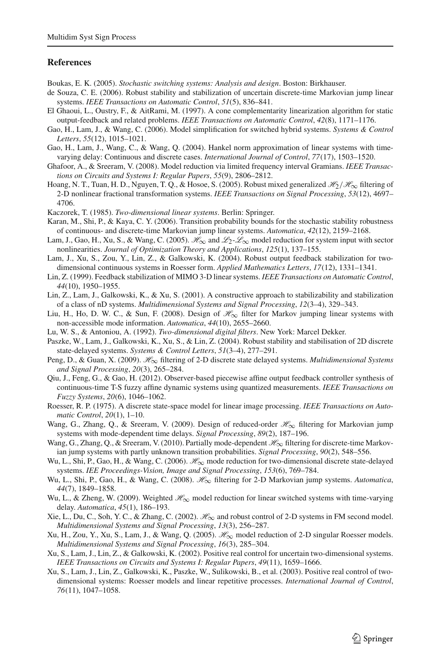## **References**

- <span id="page-20-12"></span>Boukas, E. K. (2005). *Stochastic switching systems: Analysis and design*. Boston: Birkhauser.
- <span id="page-20-18"></span>de Souza, C. E. (2006). Robust stability and stabilization of uncertain discrete-time Markovian jump linear systems. *IEEE Transactions on Automatic Control*, *51*(5), 836–841.
- <span id="page-20-26"></span>El Ghaoui, L., Oustry, F., & AitRami, M. (1997). A cone complementarity linearization algorithm for static output-feedback and related problems. *IEEE Transactions on Automatic Control*, *42*(8), 1171–1176.
- <span id="page-20-23"></span>Gao, H., Lam, J., & Wang, C. (2006). Model simplification for switched hybrid systems. *Systems & Control Letters*, *55*(12), 1015–1021.
- <span id="page-20-20"></span>Gao, H., Lam, J., Wang, C., & Wang, Q. (2004). Hankel norm approximation of linear systems with timevarying delay: Continuous and discrete cases. *International Journal of Control*, *77*(17), 1503–1520.
- <span id="page-20-19"></span>Ghafoor, A., & Sreeram, V. (2008). Model reduction via limited frequency interval Gramians. *IEEE Transactions on Circuits and Systems I: Regular Papers*, *55*(9), 2806–2812.
- <span id="page-20-10"></span>Hoang, N. T., Tuan, H. D., Nguyen, T. Q., & Hosoe, S. (2005). Robust mixed generalized *H*2/*H*∞ filtering of 2-D nonlinear fractional transformation systems. *IEEE Transactions on Signal Processing*, *53*(12), 4697– 4706.
- <span id="page-20-1"></span>Kaczorek, T. (1985). *Two-dimensional linear systems*. Berlin: Springer.
- <span id="page-20-17"></span>Karan, M., Shi, P., & Kaya, C. Y. (2006). Transition probability bounds for the stochastic stability robustness of continuous- and discrete-time Markovian jump linear systems. *Automatica*, *42*(12), 2159–2168.
- <span id="page-20-25"></span>Lam, J., Gao, H., Xu, S., & Wang, C. (2005). *H*∞ and *L*2-*L*∞ model reduction for system input with sector nonlinearities. *Journal of Optimization Theory and Applications*, *125*(1), 137–155.
- <span id="page-20-8"></span>Lam, J., Xu, S., Zou, Y., Lin, Z., & Galkowski, K. (2004). Robust output feedback stabilization for twodimensional continuous systems in Roesser form. *Applied Mathematics Letters*, *17*(12), 1331–1341.
- <span id="page-20-3"></span>Lin, Z. (1999). Feedback stabilization of MIMO 3-D linear systems. *IEEE Transactions on Automatic Control*, *44*(10), 1950–1955.
- <span id="page-20-4"></span>Lin, Z., Lam, J., Galkowski, K., & Xu, S. (2001). A constructive approach to stabilizability and stabilization of a class of nD systems. *Multidimensional Systems and Signal Processing*, *12*(3–4), 329–343.
- <span id="page-20-16"></span>Liu, H., Ho, D. W. C., & Sun, F. (2008). Design of *H*∞ filter for Markov jumping linear systems with non-accessible mode information. *Automatica*, *44*(10), 2655–2660.
- <span id="page-20-2"></span>Lu, W. S., & Antoniou, A. (1992). *Two-dimensional digital filters*. New York: Marcel Dekker.
- <span id="page-20-9"></span>Paszke, W., Lam, J., Galkowski, K., Xu, S., & Lin, Z. (2004). Robust stability and stabilisation of 2D discrete state-delayed systems. *Systems & Control Letters*, *51*(3–4), 277–291.
- <span id="page-20-11"></span>Peng, D., & Guan, X. (2009). *H*∞ filtering of 2-D discrete state delayed systems. *Multidimensional Systems and Signal Processing*, *20*(3), 265–284.
- <span id="page-20-27"></span>Qiu, J., Feng, G., & Gao, H. (2012). Observer-based piecewise affine output feedback controller synthesis of continuous-time T-S fuzzy affine dynamic systems using quantized measurements. *IEEE Transactions on Fuzzy Systems*, *20*(6), 1046–1062.
- <span id="page-20-0"></span>Roesser, R. P. (1975). A discrete state-space model for linear image processing. *IEEE Transactions on Automatic Control*, *20*(1), 1–10.
- <span id="page-20-13"></span>Wang, G., Zhang, Q., & Sreeram, V. (2009). Design of reduced-order *H*∞ filtering for Markovian jump systems with mode-dependent time delays. *Signal Processing*, *89*(2), 187–196.
- <span id="page-20-14"></span>Wang, G., Zhang, Q., & Sreeram, V. (2010). Partially mode-dependent  $\mathcal{H}_{\infty}$  filtering for discrete-time Markovian jump systems with partly unknown transition probabilities. *Signal Processing*, *90*(2), 548–556.
- <span id="page-20-22"></span>Wu, L., Shi, P., Gao, H., & Wang, C. (2006). *H*<sub>∞</sub> mode reduction for two-dimensional discrete state-delayed systems. *IEE Proceedings-Vision, Image and Signal Processing*, *153*(6), 769–784.
- <span id="page-20-15"></span>Wu, L., Shi, P., Gao, H., & Wang, C. (2008). *H*∞ filtering for 2-D Markovian jump systems. *Automatica*, *44*(7), 1849–1858.
- <span id="page-20-24"></span>Wu, L., & Zheng, W. (2009). Weighted  $\mathcal{H}_{\infty}$  model reduction for linear switched systems with time-varying delay. *Automatica*, *45*(1), 186–193.
- <span id="page-20-7"></span>Xie, L., Du, C., Soh, Y. C., & Zhang, C. (2002). *H*∞ and robust control of 2-D systems in FM second model. *Multidimensional Systems and Signal Processing*, *13*(3), 256–287.
- <span id="page-20-21"></span>Xu, H., Zou, Y., Xu, S., Lam, J., & Wang, Q. (2005). *H*∞ model reduction of 2-D singular Roesser models. *Multidimensional Systems and Signal Processing*, *16*(3), 285–304.
- <span id="page-20-5"></span>Xu, S., Lam, J., Lin, Z., & Galkowski, K. (2002). Positive real control for uncertain two-dimensional systems. *IEEE Transactions on Circuits and Systems I: Regular Papers*, *49*(11), 1659–1666.
- <span id="page-20-6"></span>Xu, S., Lam, J., Lin, Z., Galkowski, K., Paszke, W., Sulikowski, B., et al. (2003). Positive real control of twodimensional systems: Roesser models and linear repetitive processes. *International Journal of Control*, *76*(11), 1047–1058.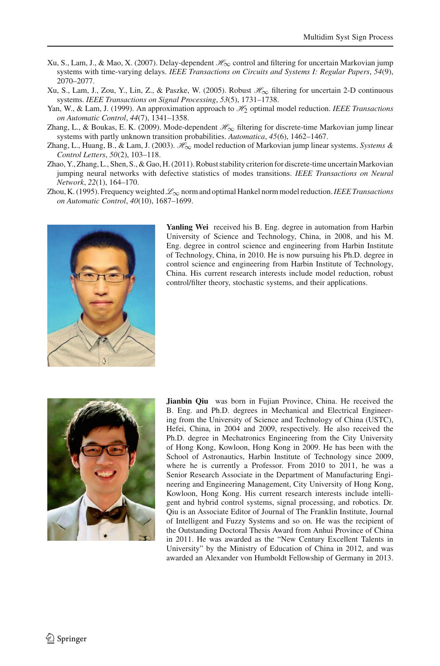- <span id="page-21-1"></span>Xu, S., Lam, J., & Mao, X. (2007). Delay-dependent *H*∞ control and filtering for uncertain Markovian jump systems with time-varying delays. *IEEE Transactions on Circuits and Systems I: Regular Papers*, *54*(9), 2070–2077.
- <span id="page-21-0"></span>Xu, S., Lam, J., Zou, Y., Lin, Z., & Paszke, W. (2005). Robust *H*∞ filtering for uncertain 2-D continuous systems. *IEEE Transactions on Signal Processing*, *53*(5), 1731–1738.
- <span id="page-21-5"></span>Yan, W., & Lam, J. (1999). An approximation approach to *H*2 optimal model reduction. *IEEE Transactions on Automatic Control*, *44*(7), 1341–1358.
- <span id="page-21-2"></span>Zhang, L., & Boukas, E. K. (2009). Mode-dependent *H*∞ filtering for discrete-time Markovian jump linear systems with partly unknown transition probabilities. *Automatica*, *45*(6), 1462–1467.
- <span id="page-21-6"></span>Zhang, L., Huang, B., & Lam, J. (2003). *H*∞ model reduction of Markovian jump linear systems. *Systems & Control Letters*, *50*(2), 103–118.
- <span id="page-21-3"></span>Zhao, Y., Zhang, L., Shen, S., & Gao, H. (2011). Robust stability criterion for discrete-time uncertain Markovian jumping neural networks with defective statistics of modes transitions. *IEEE Transactions on Neural Network*, *22*(1), 164–170.
- <span id="page-21-4"></span>Zhou, K. (1995). Frequency weighted *L*∞ norm and optimal Hankel norm model reduction.*IEEE Transactions on Automatic Control*, *40*(10), 1687–1699.



**Yanling Wei** received his B. Eng. degree in automation from Harbin University of Science and Technology, China, in 2008, and his M. Eng. degree in control science and engineering from Harbin Institute of Technology, China, in 2010. He is now pursuing his Ph.D. degree in control science and engineering from Harbin Institute of Technology, China. His current research interests include model reduction, robust control/filter theory, stochastic systems, and their applications.



**Jianbin Qiu** was born in Fujian Province, China. He received the B. Eng. and Ph.D. degrees in Mechanical and Electrical Engineering from the University of Science and Technology of China (USTC), Hefei, China, in 2004 and 2009, respectively. He also received the Ph.D. degree in Mechatronics Engineering from the City University of Hong Kong, Kowloon, Hong Kong in 2009. He has been with the School of Astronautics, Harbin Institute of Technology since 2009, where he is currently a Professor. From 2010 to 2011, he was a Senior Research Associate in the Department of Manufacturing Engineering and Engineering Management, City University of Hong Kong, Kowloon, Hong Kong. His current research interests include intelligent and hybrid control systems, signal processing, and robotics. Dr. Qiu is an Associate Editor of Journal of The Franklin Institute, Journal of Intelligent and Fuzzy Systems and so on. He was the recipient of the Outstanding Doctoral Thesis Award from Anhui Province of China in 2011. He was awarded as the "New Century Excellent Talents in University" by the Ministry of Education of China in 2012, and was awarded an Alexander von Humboldt Fellowship of Germany in 2013.